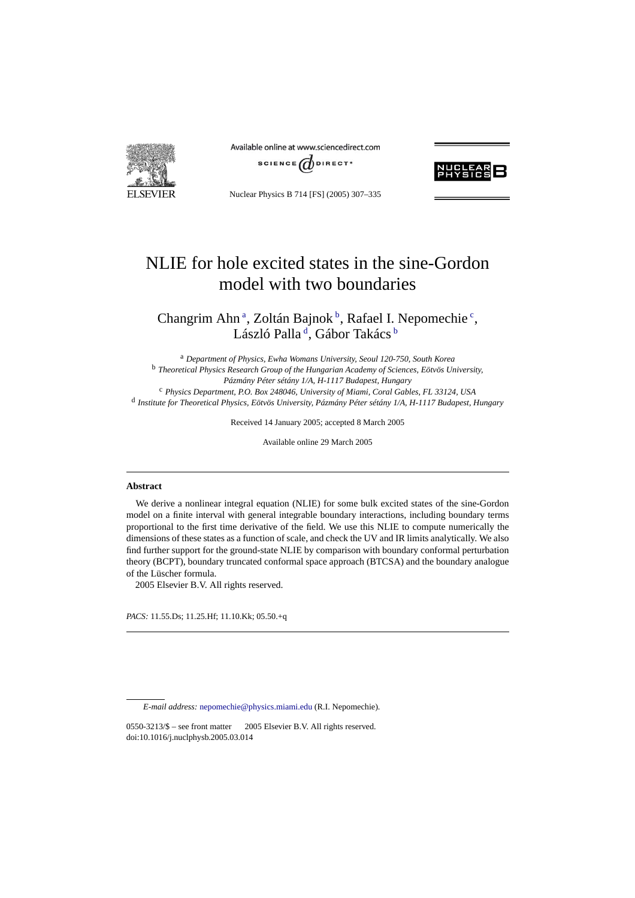**FI SEVIER** 

Available online at www.sciencedirect.com





Nuclear Physics B 714 [FS] (2005) 307–335

# NLIE for hole excited states in the sine-Gordon model with two boundaries

Changrim Ahn<sup>a</sup>, Zoltán Bajnok<sup>b</sup>, Rafael I. Nepomechie<sup>c</sup>, László Palla <sup>d</sup>, Gábor Takács <sup>b</sup>

<sup>a</sup> *Department of Physics, Ewha Womans University, Seoul 120-750, South Korea* <sup>b</sup> *Theoretical Physics Research Group of the Hungarian Academy of Sciences, Eötvös University, Pázmány Péter sétány 1/A, H-1117 Budapest, Hungary* <sup>c</sup> *Physics Department, P.O. Box 248046, University of Miami, Coral Gables, FL 33124, USA* <sup>d</sup> *Institute for Theoretical Physics, Eötvös University, Pázmány Péter sétány 1/A, H-1117 Budapest, Hungary*

Received 14 January 2005; accepted 8 March 2005

Available online 29 March 2005

## **Abstract**

We derive a nonlinear integral equation (NLIE) for some bulk excited states of the sine-Gordon model on a finite interval with general integrable boundary interactions, including boundary terms proportional to the first time derivative of the field. We use this NLIE to compute numerically the dimensions of these states as a function of scale, and check the UV and IR limits analytically. We also find further support for the ground-state NLIE by comparison with boundary conformal perturbation theory (BCPT), boundary truncated conformal space approach (BTCSA) and the boundary analogue of the Lüscher formula.

2005 Elsevier B.V. All rights reserved.

*PACS:* 11.55.Ds; 11.25.Hf; 11.10.Kk; 05.50.+q

*E-mail address:* [nepomechie@physics.miami.edu](mailto:nepomechie@physics.miami.edu) (R.I. Nepomechie).

 $0550-3213/\$$  – see front matter  $\odot$  2005 Elsevier B.V. All rights reserved. doi:10.1016/j.nuclphysb.2005.03.014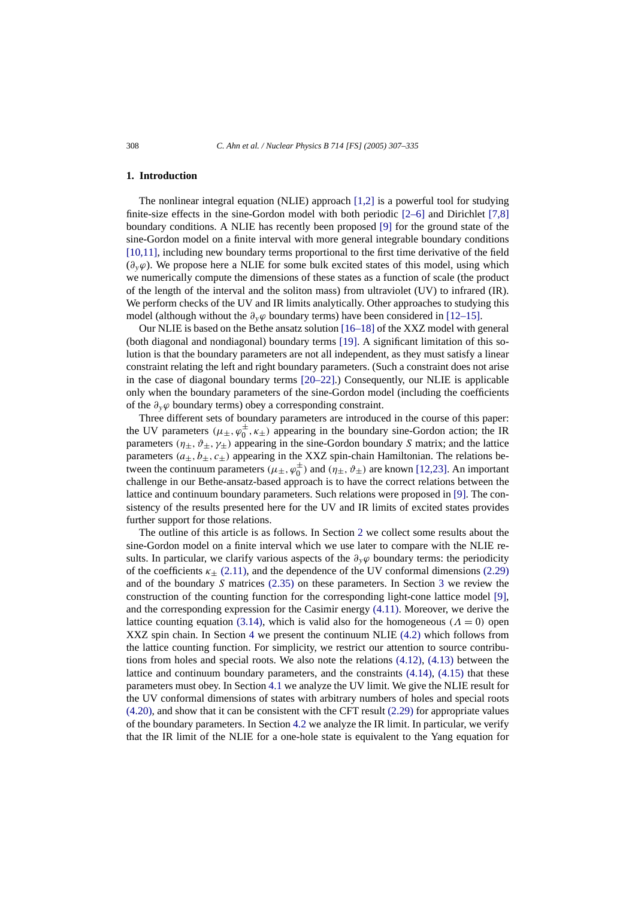## **1. Introduction**

The nonlinear integral equation (NLIE) approach [\[1,2\]](#page-27-0) is a powerful tool for studying finite-size effects in the sine-Gordon model with both periodic [\[2–6\]](#page-27-0) and Dirichlet [\[7,8\]](#page-28-0) boundary conditions. A NLIE has recently been proposed [\[9\]](#page-28-0) for the ground state of the sine-Gordon model on a finite interval with more general integrable boundary conditions [\[10,11\],](#page-28-0) including new boundary terms proportional to the first time derivative of the field (*∂yϕ*). We propose here a NLIE for some bulk excited states of this model, using which we numerically compute the dimensions of these states as a function of scale (the product of the length of the interval and the soliton mass) from ultraviolet (UV) to infrared (IR). We perform checks of the UV and IR limits analytically. Other approaches to studying this model (although without the  $\partial_y\varphi$  boundary terms) have been considered in [\[12–15\].](#page-28-0)

Our NLIE is based on the Bethe ansatz solution [\[16–18\]](#page-28-0) of the XXZ model with general (both diagonal and nondiagonal) boundary terms [\[19\].](#page-28-0) A significant limitation of this solution is that the boundary parameters are not all independent, as they must satisfy a linear constraint relating the left and right boundary parameters. (Such a constraint does not arise in the case of diagonal boundary terms [\[20–22\].](#page-28-0)) Consequently, our NLIE is applicable only when the boundary parameters of the sine-Gordon model (including the coefficients of the *∂yϕ* boundary terms) obey a corresponding constraint.

Three different sets of boundary parameters are introduced in the course of this paper: the UV parameters  $(\mu_{\pm}, \varphi_0^{\pm}, \kappa_{\pm})$  appearing in the boundary sine-Gordon action; the IR parameters  $(\eta_{\pm}, \vartheta_{\pm}, \gamma_{\pm})$  appearing in the sine-Gordon boundary *S* matrix; and the lattice parameters  $(a_+, b_+, c_+)$  appearing in the XXZ spin-chain Hamiltonian. The relations between the continuum parameters  $(\mu_{\pm}, \varphi_0^{\pm})$  and  $(\eta_{\pm}, \vartheta_{\pm})$  are known [\[12,23\].](#page-28-0) An important challenge in our Bethe-ansatz-based approach is to have the correct relations between the lattice and continuum boundary parameters. Such relations were proposed in [\[9\].](#page-28-0) The consistency of the results presented here for the UV and IR limits of excited states provides further support for those relations.

The outline of this article is as follows. In Section [2](#page-2-0) we collect some results about the sine-Gordon model on a finite interval which we use later to compare with the NLIE results. In particular, we clarify various aspects of the  $\partial_y \varphi$  boundary terms: the periodicity of the coefficients  $\kappa_{+}$  [\(2.11\),](#page-3-0) and the dependence of the UV conformal dimensions [\(2.29\)](#page-6-0) and of the boundary *S* matrices [\(2.35\)](#page-7-0) on these parameters. In Section [3](#page-8-0) we review the construction of the counting function for the corresponding light-cone lattice model [\[9\],](#page-28-0) and the corresponding expression for the Casimir energy [\(4.11\).](#page-13-0) Moreover, we derive the lattice counting equation [\(3.14\),](#page-11-0) which is valid also for the homogeneous  $(A = 0)$  open XXZ spin chain. In Section [4](#page-11-0) we present the continuum NLIE [\(4.2\)](#page-11-0) which follows from the lattice counting function. For simplicity, we restrict our attention to source contributions from holes and special roots. We also note the relations  $(4.12)$ ,  $(4.13)$  between the lattice and continuum boundary parameters, and the constraints [\(4.14\),](#page-13-0) [\(4.15\)](#page-13-0) that these parameters must obey. In Section [4.1](#page-14-0) we analyze the UV limit. We give the NLIE result for the UV conformal dimensions of states with arbitrary numbers of holes and special roots [\(4.20\),](#page-14-0) and show that it can be consistent with the CFT result [\(2.29\)](#page-6-0) for appropriate values of the boundary parameters. In Section [4.2](#page-15-0) we analyze the IR limit. In particular, we verify that the IR limit of the NLIE for a one-hole state is equivalent to the Yang equation for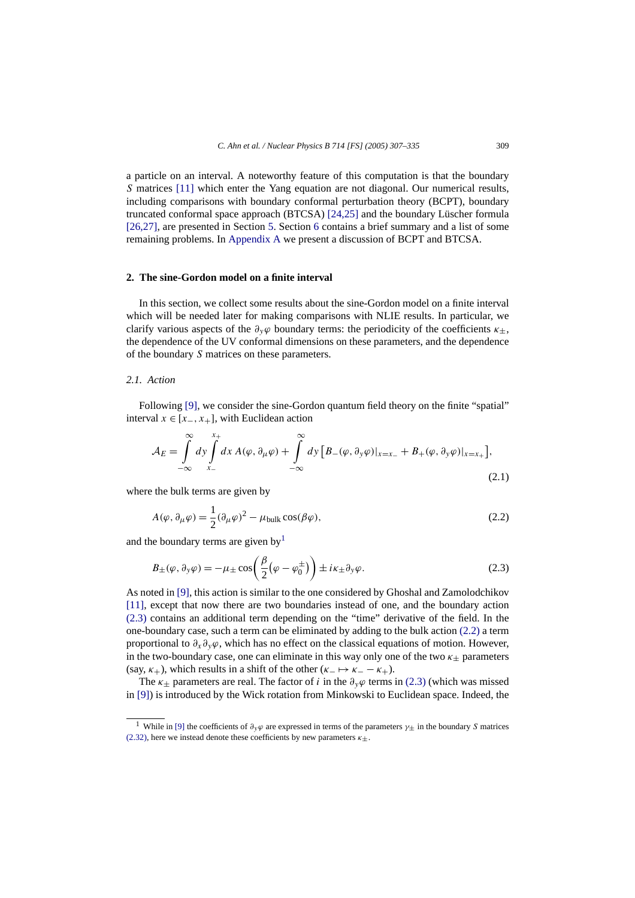<span id="page-2-0"></span>a particle on an interval. A noteworthy feature of this computation is that the boundary *S* matrices [\[11\]](#page-28-0) which enter the Yang equation are not diagonal. Our numerical results, including comparisons with boundary conformal perturbation theory (BCPT), boundary truncated conformal space approach (BTCSA) [\[24,25\]](#page-28-0) and the boundary Lüscher formula [\[26,27\],](#page-28-0) are presented in Section [5.](#page-18-0) Section [6](#page-21-0) contains a brief summary and a list of some remaining problems. In [Appendix A](#page-23-0) we present a discussion of BCPT and BTCSA.

# **2. The sine-Gordon model on a finite interval**

In this section, we collect some results about the sine-Gordon model on a finite interval which will be needed later for making comparisons with NLIE results. In particular, we clarify various aspects of the  $\partial_y \varphi$  boundary terms: the periodicity of the coefficients  $\kappa_{\pm}$ , the dependence of the UV conformal dimensions on these parameters, and the dependence of the boundary *S* matrices on these parameters.

# *2.1. Action*

Following [\[9\],](#page-28-0) we consider the sine-Gordon quantum field theory on the finite "spatial" interval  $x \in [x_-, x_+]$ , with Euclidean action

$$
\mathcal{A}_E = \int_{-\infty}^{\infty} dy \int_{x_-}^{x_+} dx \, A(\varphi, \partial_\mu \varphi) + \int_{-\infty}^{\infty} dy \left[ B_-(\varphi, \partial_y \varphi)|_{x=x_-} + B_+(\varphi, \partial_y \varphi)|_{x=x_+} \right],\tag{2.1}
$$

where the bulk terms are given by

$$
A(\varphi, \partial_{\mu}\varphi) = \frac{1}{2}(\partial_{\mu}\varphi)^{2} - \mu_{\text{bulk}}\cos(\beta\varphi),
$$
\n(2.2)

and the boundary terms are given by<sup>1</sup>

$$
B_{\pm}(\varphi, \partial_y \varphi) = -\mu_{\pm} \cos\left(\frac{\beta}{2}(\varphi - \varphi_0^{\pm})\right) \pm i\kappa_{\pm} \partial_y \varphi.
$$
 (2.3)

As noted in [\[9\],](#page-28-0) this action is similar to the one considered by Ghoshal and Zamolodchikov [\[11\],](#page-28-0) except that now there are two boundaries instead of one, and the boundary action (2.3) contains an additional term depending on the "time" derivative of the field. In the one-boundary case, such a term can be eliminated by adding to the bulk action (2.2) a term proportional to  $\partial_x \partial_y \varphi$ , which has no effect on the classical equations of motion. However, in the two-boundary case, one can eliminate in this way only one of the two  $\kappa_{+}$  parameters (say,  $\kappa_+$ ), which results in a shift of the other ( $\kappa_- \mapsto \kappa_- - \kappa_+$ ).

The  $\kappa_+$  parameters are real. The factor of *i* in the  $\partial_y \varphi$  terms in (2.3) (which was missed in [\[9\]\)](#page-28-0) is introduced by the Wick rotation from Minkowski to Euclidean space. Indeed, the

<sup>&</sup>lt;sup>1</sup> While in [\[9\]](#page-28-0) the coefficients of  $\partial_y \varphi$  are expressed in terms of the parameters  $\gamma_{\pm}$  in the boundary *S* matrices [\(2.32\),](#page-6-0) here we instead denote these coefficients by new parameters  $\kappa_{\pm}$ .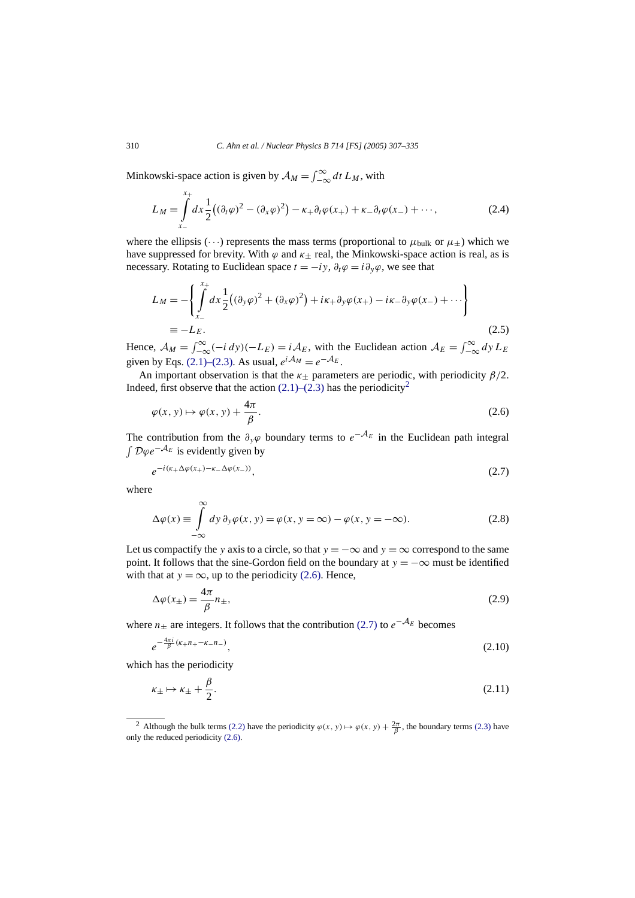Minkowski-space action is given by  $A_M = \int_{-\infty}^{\infty} dt L_M$ , with

$$
L_M = \int_{x_-}^{x_+} dx \frac{1}{2} \left( (\partial_t \varphi)^2 - (\partial_x \varphi)^2 \right) - \kappa_+ \partial_t \varphi(x_+) + \kappa_- \partial_t \varphi(x_-) + \cdots,
$$
 (2.4)

where the ellipsis ( $\cdots$ ) represents the mass terms (proportional to  $\mu_{\text{bulk}}$  or  $\mu_{+}$ ) which we have suppressed for brevity. With  $\varphi$  and  $\kappa_{+}$  real, the Minkowski-space action is real, as is necessary. Rotating to Euclidean space  $t = -iy$ ,  $\partial_t \varphi = i \partial_y \varphi$ , we see that

$$
L_M = -\left\{ \int_{x_-}^{x_+} dx \frac{1}{2} \left( (\partial_y \varphi)^2 + (\partial_x \varphi)^2 \right) + i\kappa_+ \partial_y \varphi(x_+) - i\kappa_- \partial_y \varphi(x_-) + \cdots \right\}
$$
  
=  $-L_E.$  (2.5)

Hence,  $A_M = \int_{-\infty}^{\infty} (-i \, dy)(-L_E) = iA_E$ , with the Euclidean action  $A_E = \int_{-\infty}^{\infty} dy L_E$ given by Eqs. [\(2.1\)–\(2.3\).](#page-2-0) As usual,  $e^{i\mathcal{A}_M} = e^{-\mathcal{A}_E}$ .

An important observation is that the  $\kappa_{+}$  parameters are periodic, with periodicity  $\beta/2$ . Indeed, first observe that the action  $(2.1)$ – $(2.3)$  has the periodicity<sup>2</sup>

$$
\varphi(x, y) \mapsto \varphi(x, y) + \frac{4\pi}{\beta}.
$$
\n(2.6)

The contribution from the  $\partial_y \varphi$  boundary terms to  $e^{-A_E}$  in the Euclidean path integral <sup>D</sup>*ϕe*−A*<sup>E</sup>* is evidently given by

$$
e^{-i(\kappa_+ \Delta \varphi(x_+) - \kappa_- \Delta \varphi(x_-))},\tag{2.7}
$$

where

$$
\Delta \varphi(x) \equiv \int_{-\infty}^{\infty} dy \, \partial_y \varphi(x, y) = \varphi(x, y = \infty) - \varphi(x, y = -\infty). \tag{2.8}
$$

Let us compactify the *y* axis to a circle, so that  $y = -\infty$  and  $y = \infty$  correspond to the same point. It follows that the sine-Gordon field on the boundary at  $y = -\infty$  must be identified with that at  $y = \infty$ , up to the periodicity (2.6). Hence,

$$
\Delta \varphi(x_{\pm}) = \frac{4\pi}{\beta} n_{\pm},\tag{2.9}
$$

where *n* $\pm$  are integers. It follows that the contribution (2.7) to  $e^{-A_E}$  becomes

$$
e^{-\frac{4\pi i}{\beta}(\kappa + n + -\kappa - n)}\tag{2.10}
$$

which has the periodicity

$$
\kappa_{\pm} \mapsto \kappa_{\pm} + \frac{\beta}{2}.\tag{2.11}
$$

<span id="page-3-0"></span>

<sup>&</sup>lt;sup>2</sup> Although the bulk terms [\(2.2\)](#page-2-0) have the periodicity  $\varphi(x, y) \mapsto \varphi(x, y) + \frac{2\pi}{\beta}$ , the boundary terms [\(2.3\)](#page-2-0) have only the reduced periodicity (2.6).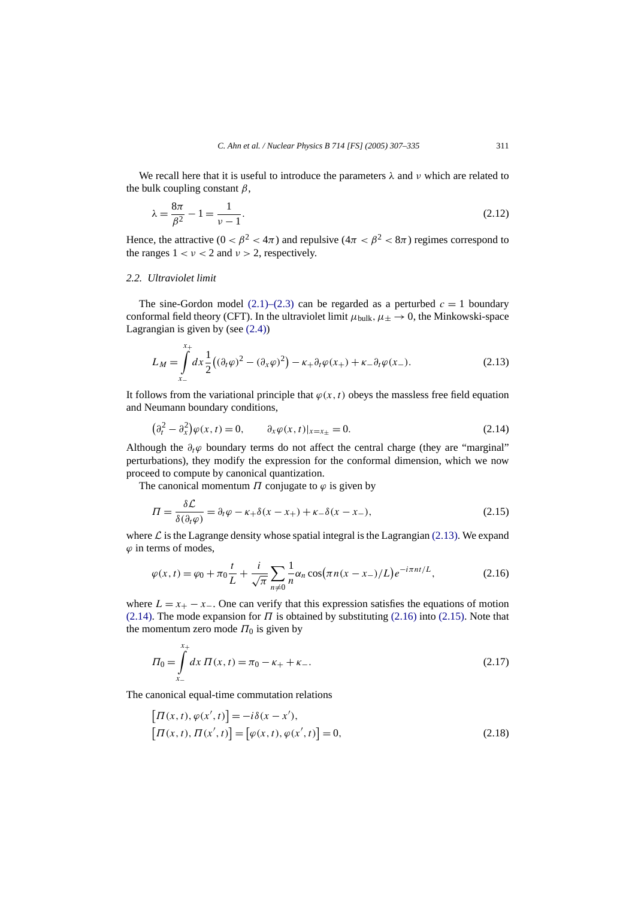<span id="page-4-0"></span>We recall here that it is useful to introduce the parameters *λ* and *ν* which are related to the bulk coupling constant *β*,

$$
\lambda = \frac{8\pi}{\beta^2} - 1 = \frac{1}{\nu - 1}.\tag{2.12}
$$

Hence, the attractive ( $0 < \beta^2 < 4\pi$ ) and repulsive ( $4\pi < \beta^2 < 8\pi$ ) regimes correspond to the ranges  $1 < v < 2$  and  $v > 2$ , respectively.

# *2.2. Ultraviolet limit*

The sine-Gordon model  $(2.1)$ – $(2.3)$  can be regarded as a perturbed  $c = 1$  boundary conformal field theory (CFT). In the ultraviolet limit  $\mu_{\text{bulk}}$ ,  $\mu_{\pm} \rightarrow 0$ , the Minkowski-space Lagrangian is given by (see  $(2.4)$ )

$$
L_M = \int_{x_-}^{x_+} dx \frac{1}{2} \left( (\partial_t \varphi)^2 - (\partial_x \varphi)^2 \right) - \kappa_+ \partial_t \varphi(x_+) + \kappa_- \partial_t \varphi(x_-). \tag{2.13}
$$

It follows from the variational principle that  $\varphi(x, t)$  obeys the massless free field equation and Neumann boundary conditions,

$$
\left(\partial_t^2 - \partial_x^2\right)\varphi(x,t) = 0, \qquad \partial_x\varphi(x,t)|_{x=x_\pm} = 0. \tag{2.14}
$$

Although the  $\partial_t \varphi$  boundary terms do not affect the central charge (they are "marginal" perturbations), they modify the expression for the conformal dimension, which we now proceed to compute by canonical quantization.

The canonical momentum  $\Pi$  conjugate to  $\varphi$  is given by

$$
\Pi = \frac{\delta \mathcal{L}}{\delta(\partial_t \varphi)} = \partial_t \varphi - \kappa_+ \delta(x - x_+) + \kappa_- \delta(x - x_-),\tag{2.15}
$$

where  $\mathcal L$  is the Lagrange density whose spatial integral is the Lagrangian (2.13). We expand *ϕ* in terms of modes,

$$
\varphi(x,t) = \varphi_0 + \pi_0 \frac{t}{L} + \frac{i}{\sqrt{\pi}} \sum_{n \neq 0} \frac{1}{n} \alpha_n \cos(\pi n (x - x_-)/L) e^{-i\pi n t/L},
$$
\n(2.16)

where  $L = x_+ - x_-$ . One can verify that this expression satisfies the equations of motion (2.14). The mode expansion for  $\Pi$  is obtained by substituting (2.16) into (2.15). Note that the momentum zero mode  $\Pi_0$  is given by

$$
\Pi_0 = \int_{x_-}^{x_+} dx \, \Pi(x, t) = \pi_0 - \kappa_+ + \kappa_-.
$$
\n(2.17)

The canonical equal-time commutation relations

$$
[\Pi(x,t), \varphi(x',t)] = -i\delta(x-x'),[\Pi(x,t), \Pi(x',t)] = [\varphi(x,t), \varphi(x',t)] = 0,
$$
\n(2.18)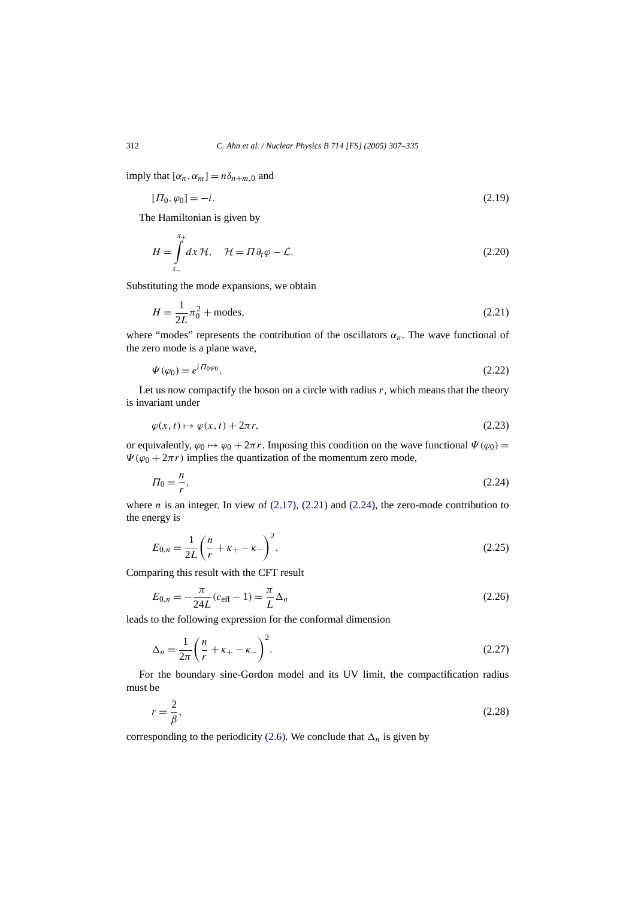imply that  $[\alpha_n, \alpha_m] = n\delta_{n+m,0}$  and

$$
[\Pi_0, \varphi_0] = -i. \tag{2.19}
$$

The Hamiltonian is given by

$$
H = \int_{x_{-}}^{x_{+}} dx \, \mathcal{H}, \quad \mathcal{H} = \Pi \partial_{t} \varphi - \mathcal{L}.
$$
 (2.20)

Substituting the mode expansions, we obtain

$$
H = \frac{1}{2L}\pi_0^2 + \text{modes},\tag{2.21}
$$

where "modes" represents the contribution of the oscillators  $\alpha_n$ . The wave functional of the zero mode is a plane wave,

$$
\Psi(\varphi_0) = e^{i\varPi_0\varphi_0}.\tag{2.22}
$$

Let us now compactify the boson on a circle with radius  $r$ , which means that the theory is invariant under

$$
\varphi(x,t) \mapsto \varphi(x,t) + 2\pi r,\tag{2.23}
$$

or equivalently,  $\varphi_0 \mapsto \varphi_0 + 2\pi r$ . Imposing this condition on the wave functional  $\Psi(\varphi_0) =$  $\Psi(\varphi_0 + 2\pi r)$  implies the quantization of the momentum zero mode,

$$
\Pi_0 = \frac{n}{r},\tag{2.24}
$$

where *n* is an integer. In view of  $(2.17)$ ,  $(2.21)$  and  $(2.24)$ , the zero-mode contribution to the energy is

$$
E_{0,n} = \frac{1}{2L} \left( \frac{n}{r} + \kappa_+ - \kappa_- \right)^2.
$$
 (2.25)

Comparing this result with the CFT result

$$
E_{0,n} = -\frac{\pi}{24L}(c_{\text{eff}} - 1) = \frac{\pi}{L}\Delta_n
$$
\n(2.26)

leads to the following expression for the conformal dimension

$$
\Delta_n = \frac{1}{2\pi} \left( \frac{n}{r} + \kappa_+ - \kappa_- \right)^2.
$$
\n(2.27)

For the boundary sine-Gordon model and its UV limit, the compactification radius must be

$$
r = \frac{2}{\beta},\tag{2.28}
$$

corresponding to the periodicity [\(2.6\).](#page-3-0) We conclude that  $\Delta_n$  is given by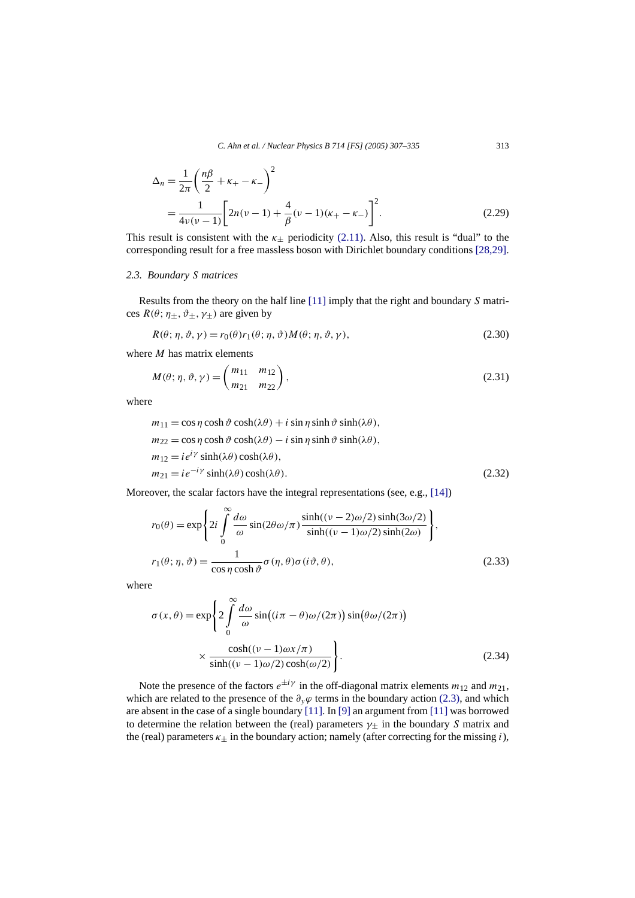<span id="page-6-0"></span>
$$
\Delta_n = \frac{1}{2\pi} \left( \frac{n\beta}{2} + \kappa_+ - \kappa_- \right)^2
$$
  
= 
$$
\frac{1}{4\nu(\nu - 1)} \left[ 2n(\nu - 1) + \frac{4}{\beta} (\nu - 1)(\kappa_+ - \kappa_-) \right]^2.
$$
 (2.29)

This result is consistent with the  $\kappa_{+}$  periodicity [\(2.11\).](#page-3-0) Also, this result is "dual" to the corresponding result for a free massless boson with Dirichlet boundary conditions [\[28,29\].](#page-28-0)

# *2.3. Boundary S matrices*

Results from the theory on the half line [\[11\]](#page-28-0) imply that the right and boundary *S* matrices  $R(\theta; \eta_{\pm}, \vartheta_{\pm}, \gamma_{\pm})$  are given by

$$
R(\theta; \eta, \vartheta, \gamma) = r_0(\theta) r_1(\theta; \eta, \vartheta) M(\theta; \eta, \vartheta, \gamma), \qquad (2.30)
$$

where *M* has matrix elements

$$
M(\theta; \eta, \vartheta, \gamma) = \begin{pmatrix} m_{11} & m_{12} \\ m_{21} & m_{22} \end{pmatrix},
$$
\n(2.31)

where

$$
m_{11} = \cos \eta \cosh \vartheta \cosh(\lambda \theta) + i \sin \eta \sinh \vartheta \sinh(\lambda \theta),
$$
  
\n
$$
m_{22} = \cos \eta \cosh \vartheta \cosh(\lambda \theta) - i \sin \eta \sinh \vartheta \sinh(\lambda \theta),
$$
  
\n
$$
m_{12} = i e^{i\gamma} \sinh(\lambda \theta) \cosh(\lambda \theta),
$$
  
\n
$$
m_{21} = i e^{-i\gamma} \sinh(\lambda \theta) \cosh(\lambda \theta).
$$
\n(2.32)

Moreover, the scalar factors have the integral representations (see, e.g., [\[14\]\)](#page-28-0)

$$
r_0(\theta) = \exp\left\{ 2i \int_0^\infty \frac{d\omega}{\omega} \sin(2\theta \omega/\pi) \frac{\sinh((\nu - 2)\omega/2) \sinh(3\omega/2)}{\sinh((\nu - 1)\omega/2) \sinh(2\omega)} \right\},\,
$$
  

$$
r_1(\theta; \eta, \vartheta) = \frac{1}{\cos \eta \cosh \vartheta} \sigma(\eta, \theta) \sigma(i\vartheta, \theta),
$$
 (2.33)

where

$$
\sigma(x,\theta) = \exp\left\{2\int_{0}^{\infty} \frac{d\omega}{\omega} \sin\left((i\pi - \theta)\omega/(2\pi)\right) \sin(\theta\omega/(2\pi))\right\}
$$

$$
\times \frac{\cosh((\nu - 1)\omega x/\pi)}{\sinh((\nu - 1)\omega/2)\cosh(\omega/2)}\right\}.
$$
(2.34)

Note the presence of the factors  $e^{\pm i\gamma}$  in the off-diagonal matrix elements  $m_{12}$  and  $m_{21}$ , which are related to the presence of the  $\partial_y \varphi$  terms in the boundary action [\(2.3\),](#page-2-0) and which are absent in the case of a single boundary [\[11\].](#page-28-0) In [\[9\]](#page-28-0) an argument from [\[11\]](#page-28-0) was borrowed to determine the relation between the (real) parameters *γ*± in the boundary *S* matrix and the (real) parameters  $\kappa_{\pm}$  in the boundary action; namely (after correcting for the missing *i*),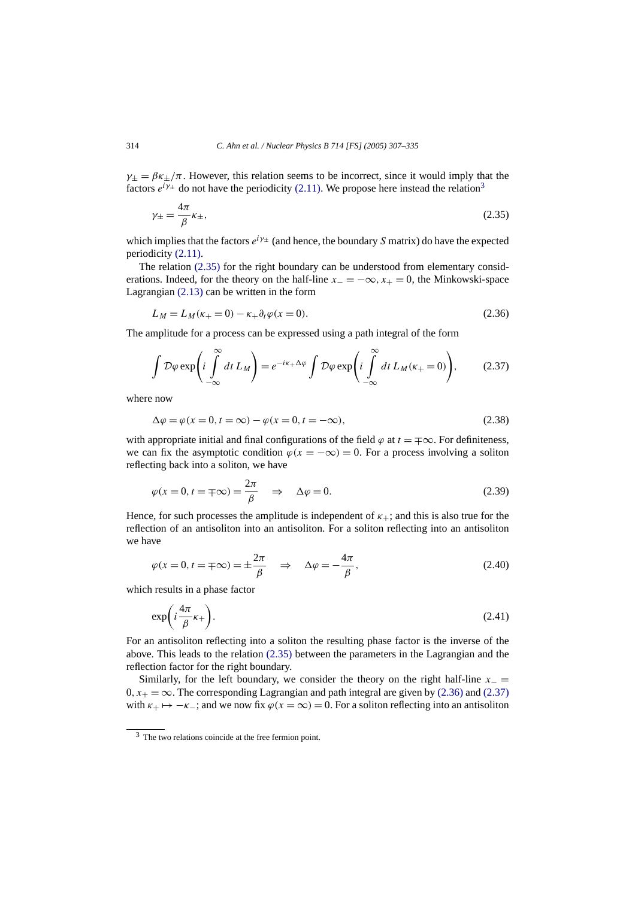<span id="page-7-0"></span> $\gamma_+ = \beta \kappa_+ / \pi$ . However, this relation seems to be incorrect, since it would imply that the factors  $e^{i\gamma_{\pm}}$  do not have the periodicity [\(2.11\).](#page-3-0) We propose here instead the relation<sup>3</sup>

$$
\gamma_{\pm} = \frac{4\pi}{\beta} \kappa_{\pm},\tag{2.35}
$$

which implies that the factors  $e^{i\gamma \pm}$  (and hence, the boundary *S* matrix) do have the expected periodicity [\(2.11\).](#page-3-0)

The relation (2.35) for the right boundary can be understood from elementary considerations. Indeed, for the theory on the half-line  $x<sub>-</sub> = -\infty$ ,  $x<sub>+</sub> = 0$ , the Minkowski-space Lagrangian [\(2.13\)](#page-4-0) can be written in the form

$$
L_M = L_M(\kappa_+ = 0) - \kappa_+ \partial_t \varphi(x = 0).
$$
\n(2.36)

The amplitude for a process can be expressed using a path integral of the form

$$
\int \mathcal{D}\varphi \exp\left(i \int_{-\infty}^{\infty} dt \, L_M\right) = e^{-i\kappa_+ \Delta \varphi} \int \mathcal{D}\varphi \exp\left(i \int_{-\infty}^{\infty} dt \, L_M(\kappa_+ = 0)\right),\tag{2.37}
$$

where now

$$
\Delta \varphi = \varphi(x = 0, t = \infty) - \varphi(x = 0, t = -\infty),\tag{2.38}
$$

with appropriate initial and final configurations of the field  $\varphi$  at  $t = \pm \infty$ . For definiteness, we can fix the asymptotic condition  $\varphi(x = -\infty) = 0$ . For a process involving a soliton reflecting back into a soliton, we have

$$
\varphi(x=0, t=\pm\infty) = \frac{2\pi}{\beta} \quad \Rightarrow \quad \Delta\varphi = 0. \tag{2.39}
$$

Hence, for such processes the amplitude is independent of  $\kappa_{+}$ ; and this is also true for the reflection of an antisoliton into an antisoliton. For a soliton reflecting into an antisoliton we have

$$
\varphi(x=0, t=\pm\infty)=\pm\frac{2\pi}{\beta} \quad \Rightarrow \quad \Delta\varphi=-\frac{4\pi}{\beta},\tag{2.40}
$$

which results in a phase factor

$$
\exp\left(i\frac{4\pi}{\beta}\kappa_{+}\right). \tag{2.41}
$$

For an antisoliton reflecting into a soliton the resulting phase factor is the inverse of the above. This leads to the relation (2.35) between the parameters in the Lagrangian and the reflection factor for the right boundary.

Similarly, for the left boundary, we consider the theory on the right half-line  $x_$  =  $0, x_{+} = \infty$ . The corresponding Lagrangian and path integral are given by (2.36) and (2.37) with  $\kappa_+ \mapsto -\kappa_-$ ; and we now fix  $\varphi(x = \infty) = 0$ . For a soliton reflecting into an antisoliton

<sup>3</sup> The two relations coincide at the free fermion point.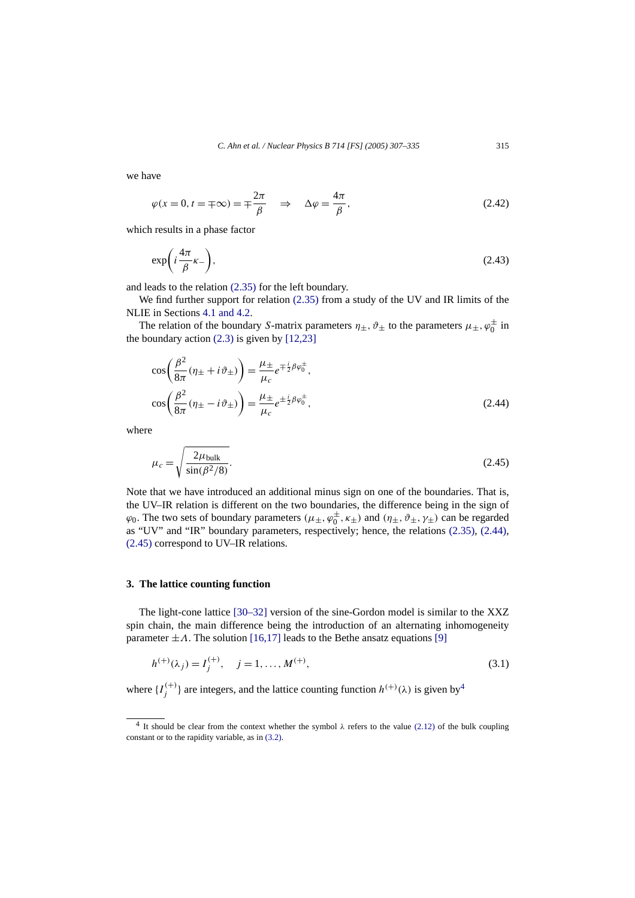<span id="page-8-0"></span>we have

$$
\varphi(x=0, t=\pm\infty)=\pm\frac{2\pi}{\beta} \quad \Rightarrow \quad \Delta\varphi=\frac{4\pi}{\beta},\tag{2.42}
$$

which results in a phase factor

$$
\exp\left(i\frac{4\pi}{\beta}\kappa_{-}\right),\tag{2.43}
$$

and leads to the relation [\(2.35\)](#page-7-0) for the left boundary.

We find further support for relation [\(2.35\)](#page-7-0) from a study of the UV and IR limits of the NLIE in Sections [4.1 and 4.2.](#page-14-0)

The relation of the boundary *S*-matrix parameters  $\eta_{\pm}$ ,  $\vartheta_{\pm}$  to the parameters  $\mu_{\pm}$ ,  $\varphi_0^{\pm}$  in the boundary action  $(2.3)$  is given by  $[12,23]$ 

$$
\cos\left(\frac{\beta^2}{8\pi}(\eta_\pm + i\vartheta_\pm)\right) = \frac{\mu_\pm}{\mu_c} e^{\mp \frac{i}{2}\beta\varphi_0^\pm},
$$
  

$$
\cos\left(\frac{\beta^2}{8\pi}(\eta_\pm - i\vartheta_\pm)\right) = \frac{\mu_\pm}{\mu_c} e^{\pm \frac{i}{2}\beta\varphi_0^\pm},
$$
 (2.44)

where

$$
\mu_c = \sqrt{\frac{2\mu_{\text{bulk}}}{\sin(\beta^2/8)}}.
$$
\n(2.45)

Note that we have introduced an additional minus sign on one of the boundaries. That is, the UV–IR relation is different on the two boundaries, the difference being in the sign of  $\varphi_0$ . The two sets of boundary parameters  $(\mu_\pm, \varphi_0^\pm, \kappa_\pm)$  and  $(\eta_\pm, \vartheta_\pm, \gamma_\pm)$  can be regarded as "UV" and "IR" boundary parameters, respectively; hence, the relations [\(2.35\),](#page-7-0) (2.44), (2.45) correspond to UV–IR relations.

## **3. The lattice counting function**

The light-cone lattice [\[30–32\]](#page-28-0) version of the sine-Gordon model is similar to the XXZ spin chain, the main difference being the introduction of an alternating inhomogeneity parameter  $\pm A$ . The solution [\[16,17\]](#page-28-0) leads to the Bethe ansatz equations [\[9\]](#page-28-0)

$$
h^{(+)}(\lambda_j) = I_j^{(+)}, \quad j = 1, ..., M^{(+)},
$$
\n(3.1)

where  $\{I_j^{(+)}\}$  are integers, and the lattice counting function  $h^{(+)}(\lambda)$  is given by<sup>4</sup>

<sup>&</sup>lt;sup>4</sup> It should be clear from the context whether the symbol  $\lambda$  refers to the value [\(2.12\)](#page-4-0) of the bulk coupling constant or to the rapidity variable, as in [\(3.2\).](#page-9-0)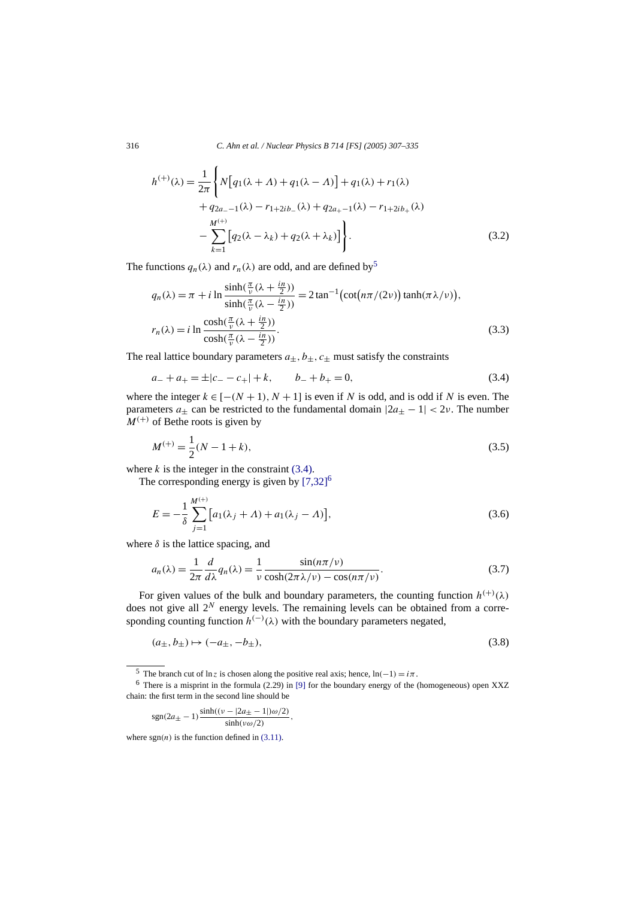<span id="page-9-0"></span>316 *C. Ahn et al. / Nuclear Physics B 714 [FS] (2005) 307–335*

$$
h^{(+)}(\lambda) = \frac{1}{2\pi} \left\{ N \Big[ q_1(\lambda + \Lambda) + q_1(\lambda - \Lambda) \Big] + q_1(\lambda) + r_1(\lambda) + q_{2a_{-} - 1}(\lambda) - r_{1 + 2ib_{-}}(\lambda) + q_{2a_{+} - 1}(\lambda) - r_{1 + 2ib_{+}}(\lambda) - \sum_{k=1}^{M^{(+)}} \Big[ q_2(\lambda - \lambda_k) + q_2(\lambda + \lambda_k) \Big] \right\}.
$$
 (3.2)

The functions  $q_n(\lambda)$  and  $r_n(\lambda)$  are odd, and are defined by<sup>5</sup>

$$
q_n(\lambda) = \pi + i \ln \frac{\sinh(\frac{\pi}{\nu}(\lambda + \frac{in}{2}))}{\sinh(\frac{\pi}{\nu}(\lambda - \frac{in}{2}))} = 2 \tan^{-1} \left( \cot(n\pi/(2\nu)) \tanh(\pi \lambda/\nu) \right),
$$
  

$$
r_n(\lambda) = i \ln \frac{\cosh(\frac{\pi}{\nu}(\lambda + \frac{in}{2}))}{\cosh(\frac{\pi}{\nu}(\lambda - \frac{in}{2}))}.
$$
 (3.3)

The real lattice boundary parameters  $a_{\pm}$ ,  $b_{\pm}$ ,  $c_{\pm}$  must satisfy the constraints

$$
a_{-} + a_{+} = \pm |c_{-} - c_{+}| + k, \qquad b_{-} + b_{+} = 0,
$$
\n(3.4)

where the integer  $k \in [-(N+1), N+1]$  is even if *N* is odd, and is odd if *N* is even. The parameters  $a_{+}$  can be restricted to the fundamental domain  $|2a_{+} - 1| < 2v$ . The number  $M^{(+)}$  of Bethe roots is given by

$$
M^{(+)} = \frac{1}{2}(N - 1 + k),\tag{3.5}
$$

where  $k$  is the integer in the constraint  $(3.4)$ .

The corresponding energy is given by  $[7,32]^{6}$ 

$$
E = -\frac{1}{\delta} \sum_{j=1}^{M^{(+)}} [a_1(\lambda_j + \Lambda) + a_1(\lambda_j - \Lambda)],
$$
\n(3.6)

where  $\delta$  is the lattice spacing, and

$$
a_n(\lambda) = \frac{1}{2\pi} \frac{d}{d\lambda} q_n(\lambda) = \frac{1}{\nu} \frac{\sin(n\pi/\nu)}{\cosh(2\pi\lambda/\nu) - \cos(n\pi/\nu)}.
$$
 (3.7)

For given values of the bulk and boundary parameters, the counting function  $h^{(+)}(\lambda)$ does not give all  $2^N$  energy levels. The remaining levels can be obtained from a corresponding counting function  $h^{(-)}(\lambda)$  with the boundary parameters negated,

$$
(a_{\pm}, b_{\pm}) \mapsto (-a_{\pm}, -b_{\pm}), \tag{3.8}
$$

$$
sgn(2a_{\pm} - 1) \frac{\sinh((\nu - |2a_{\pm} - 1|)\omega/2)}{\sinh(\nu\omega/2)},
$$

where  $sgn(n)$  is the function defined in  $(3.11)$ .

<sup>&</sup>lt;sup>5</sup> The branch cut of ln *z* is chosen along the positive real axis; hence,  $ln(-1) = i\pi$ .

 $6$  There is a misprint in the formula (2.29) in [\[9\]](#page-28-0) for the boundary energy of the (homogeneous) open XXZ chain: the first term in the second line should be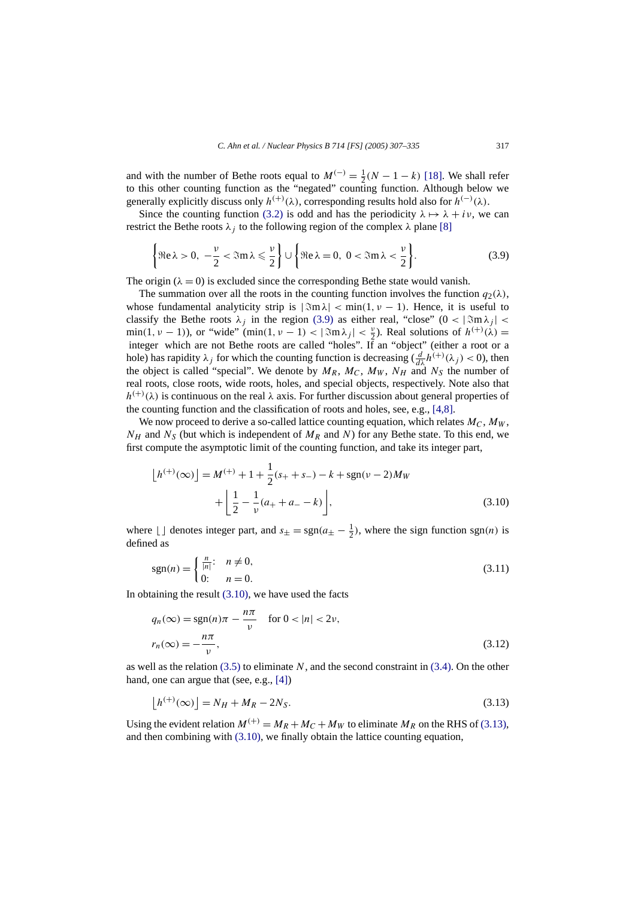<span id="page-10-0"></span>and with the number of Bethe roots equal to  $M^{(-)} = \frac{1}{2}(N - 1 - k)$  [\[18\].](#page-28-0) We shall refer to this other counting function as the "negated" counting function. Although below we generally explicitly discuss only  $h^{(+)}(\lambda)$ , corresponding results hold also for  $h^{(-)}(\lambda)$ .

Since the counting function [\(3.2\)](#page-9-0) is odd and has the periodicity  $\lambda \mapsto \lambda + i\nu$ , we can restrict the Bethe roots  $\lambda_i$  to the following region of the complex  $\lambda$  plane [\[8\]](#page-28-0)

$$
\left\{\Re e\,\lambda > 0, \ -\frac{\nu}{2} < \Re\,\lambda \leq \frac{\nu}{2}\right\} \cup \left\{\Re e\,\lambda = 0, \ 0 < \Re\,\lambda < \frac{\nu}{2}\right\}.\tag{3.9}
$$

The origin ( $\lambda = 0$ ) is excluded since the corresponding Bethe state would vanish.

The summation over all the roots in the counting function involves the function  $q_2(\lambda)$ , whose fundamental analyticity strip is  $|\Im m \lambda| < \min(1, \nu - 1)$ . Hence, it is useful to classify the Bethe roots  $\lambda_i$  in the region (3.9) as either real, "close" ( $0 < |\Im m \lambda_i| <$  $\min(1, \nu - 1)$ , or "wide" ( $\min(1, \nu - 1) < |\Im \mathfrak{m} \lambda_j| < \frac{\nu}{2}$ ). Real solutions of  $h^{(+)}(\lambda) =$ integer which are not Bethe roots are called "holes". If an "object" (either a root or a hole) has rapidity  $\lambda_j$  for which the counting function is decreasing  $(\frac{d}{d\lambda}h^{(+)}(\lambda_j) < 0)$ , then the object is called "special". We denote by  $M_R$ ,  $M_C$ ,  $M_W$ ,  $N_H$  and  $N_S$  the number of real roots, close roots, wide roots, holes, and special objects, respectively. Note also that  $h^{(+)}(\lambda)$  is continuous on the real  $\lambda$  axis. For further discussion about general properties of the counting function and the classification of roots and holes, see, e.g., [\[4,8\].](#page-27-0)

We now proceed to derive a so-called lattice counting equation, which relates  $M_C$ ,  $M_W$ ,  $N_H$  and  $N_S$  (but which is independent of  $M_R$  and *N*) for any Bethe state. To this end, we first compute the asymptotic limit of the counting function, and take its integer part,

$$
\lfloor h^{(+)}(\infty) \rfloor = M^{(+)} + 1 + \frac{1}{2}(s_+ + s_-) - k + \text{sgn}(\nu - 2)M_W
$$

$$
+ \left[ \frac{1}{2} - \frac{1}{\nu}(a_+ + a_- - k) \right],
$$
(3.10)

where  $\lfloor \int$  denotes integer part, and  $s_{\pm} = \text{sgn}(a_{\pm} - \frac{1}{2})$ , where the sign function sgn(*n*) is defined as

$$
sgn(n) = \begin{cases} \frac{n}{|n|} & n \neq 0, \\ 0 & n = 0. \end{cases}
$$
 (3.11)

In obtaining the result  $(3.10)$ , we have used the facts

$$
q_n(\infty) = \operatorname{sgn}(n)\pi - \frac{n\pi}{\nu} \quad \text{for } 0 < |n| < 2\nu,
$$
\n
$$
r_n(\infty) = -\frac{n\pi}{\nu},\tag{3.12}
$$

as well as the relation [\(3.5\)](#page-9-0) to eliminate *N*, and the second constraint in [\(3.4\).](#page-9-0) On the other hand, one can argue that (see, e.g., [\[4\]\)](#page-27-0)

$$
\lfloor h^{(+)}(\infty) \rfloor = N_H + M_R - 2N_S. \tag{3.13}
$$

Using the evident relation  $M^{(+)} = M_R + M_C + M_W$  to eliminate  $M_R$  on the RHS of (3.13), and then combining with (3.10), we finally obtain the lattice counting equation,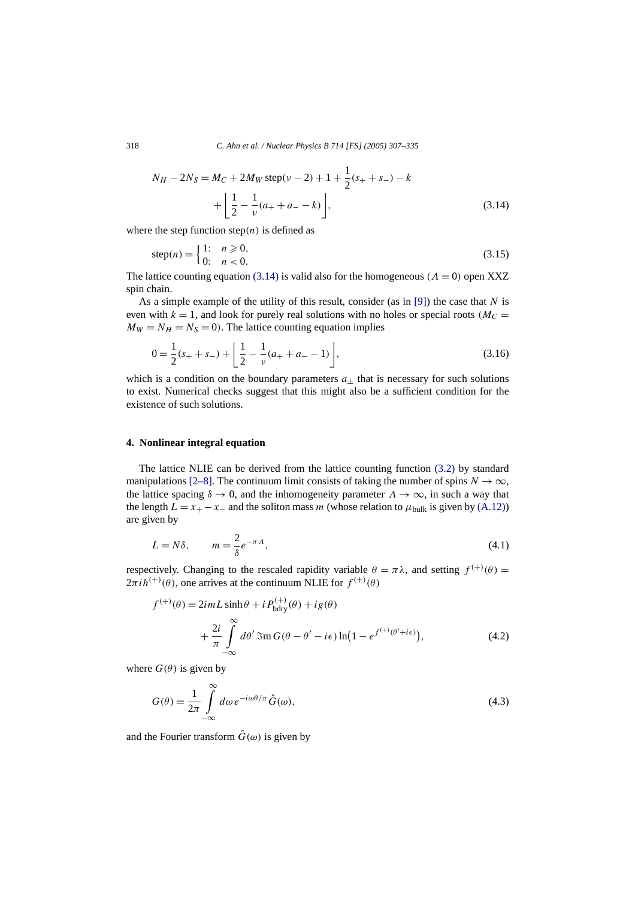<span id="page-11-0"></span>318 *C. Ahn et al. / Nuclear Physics B 714 [FS] (2005) 307–335*

$$
N_H - 2N_S = M_C + 2M_W \text{ step}(\nu - 2) + 1 + \frac{1}{2}(s_+ + s_-) - k
$$
  
+ 
$$
\left( \frac{1}{2} - \frac{1}{\nu}(a_+ + a_- - k) \right),
$$
 (3.14)

where the step function  $step(n)$  is defined as

$$
step(n) = \begin{cases} 1: & n \ge 0, \\ 0: & n < 0. \end{cases}
$$
 (3.15)

The lattice counting equation (3.14) is valid also for the homogeneous  $(A = 0)$  open XXZ spin chain.

As a simple example of the utility of this result, consider (as in [\[9\]\)](#page-28-0) the case that *N* is even with  $k = 1$ , and look for purely real solutions with no holes or special roots ( $M<sub>C</sub>$ )  $M_W = N_H = N_S = 0$ . The lattice counting equation implies

$$
0 = \frac{1}{2}(s_{+} + s_{-}) + \left[ \frac{1}{2} - \frac{1}{\nu}(a_{+} + a_{-} - 1) \right],
$$
\n(3.16)

which is a condition on the boundary parameters  $a_{+}$  that is necessary for such solutions to exist. Numerical checks suggest that this might also be a sufficient condition for the existence of such solutions.

# **4. Nonlinear integral equation**

The lattice NLIE can be derived from the lattice counting function [\(3.2\)](#page-9-0) by standard manipulations [\[2–8\].](#page-27-0) The continuum limit consists of taking the number of spins  $N \to \infty$ , the lattice spacing  $\delta \to 0$ , and the inhomogeneity parameter  $\Lambda \to \infty$ , in such a way that the length  $L = x_+ - x_-$  and the soliton mass *m* (whose relation to  $\mu_{\text{bulk}}$  is given by [\(A.12\)\)](#page-27-0) are given by

$$
L = N\delta, \qquad m = \frac{2}{\delta}e^{-\pi\Lambda}, \tag{4.1}
$$

respectively. Changing to the rescaled rapidity variable  $\theta = \pi \lambda$ , and setting  $f^{(+)}(\theta) =$  $2\pi i h^{(+)}(\theta)$ , one arrives at the continuum NLIE for  $f^{(+)}(\theta)$ 

$$
f^{(+)}(\theta) = 2imL \sinh \theta + i P_{\text{bdry}}^{(+)}(\theta) + ig(\theta)
$$
  
+ 
$$
\frac{2i}{\pi} \int_{-\infty}^{\infty} d\theta' \Im \pi G(\theta - \theta' - i\epsilon) \ln(1 - e^{f^{(+)}(\theta' + i\epsilon)}),
$$
 (4.2)

where  $G(\theta)$  is given by

$$
G(\theta) = \frac{1}{2\pi} \int_{-\infty}^{\infty} d\omega \, e^{-i\omega\theta/\pi} \hat{G}(\omega),\tag{4.3}
$$

and the Fourier transform  $\hat{G}(\omega)$  is given by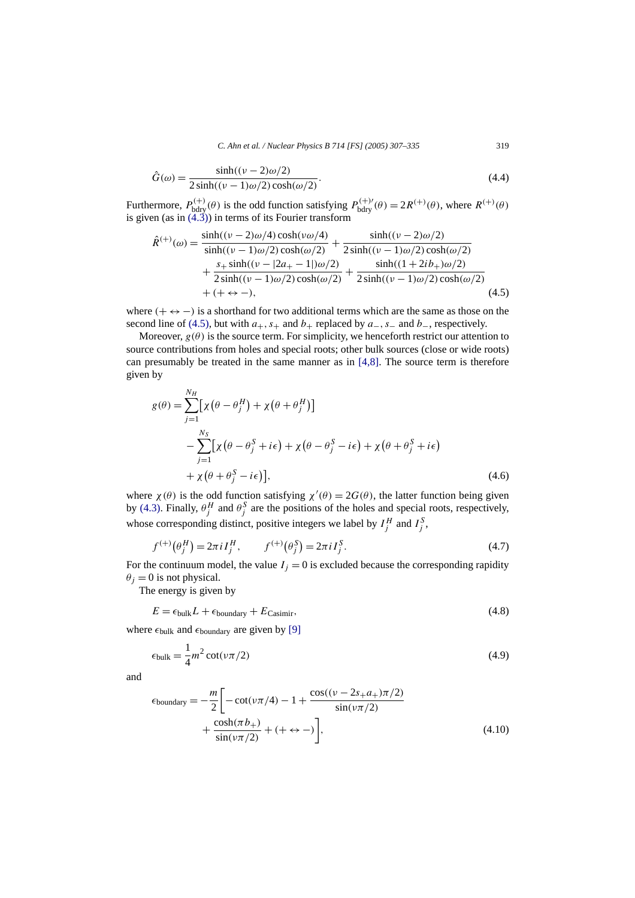*C. Ahn et al. / Nuclear Physics B 714 [FS] (2005) 307–335* 319

<span id="page-12-0"></span>
$$
\hat{G}(\omega) = \frac{\sinh((\nu - 2)\omega/2)}{2\sinh((\nu - 1)\omega/2)\cosh(\omega/2)}.
$$
\n(4.4)

Furthermore,  $P_{\text{bdry}}^{(+)}(\theta)$  is the odd function satisfying  $P_{\text{bdry}}^{(+)}(\theta) = 2R^{(+)}(\theta)$ , where  $R^{(+)}(\theta)$ is given (as in [\(4.3\)\)](#page-11-0) in terms of its Fourier transform

$$
\hat{R}^{(+)}(\omega) = \frac{\sinh((\nu - 2)\omega/4)\cosh(\nu\omega/4)}{\sinh((\nu - 1)\omega/2)\cosh(\omega/2)} + \frac{\sinh((\nu - 2)\omega/2)}{2\sinh((\nu - 1)\omega/2)\cosh(\omega/2)} + \frac{s_+ \sinh((\nu - 2)a_+ - 1)\omega/2)}{2\sinh((\nu - 1)\omega/2)\cosh(\omega/2)} + \frac{\sinh((1 + 2ib_+) \omega/2)}{2\sinh((\nu - 1)\omega/2)\cosh(\omega/2)} + (+ \leftrightarrow -),
$$
\n(4.5)

where  $(+\leftrightarrow -)$  is a shorthand for two additional terms which are the same as those on the second line of (4.5), but with  $a_+, s_+$  and  $b_+$  replaced by  $a_-, s_-$  and  $b_-,$  respectively.

Moreover,  $g(\theta)$  is the source term. For simplicity, we henceforth restrict our attention to source contributions from holes and special roots; other bulk sources (close or wide roots) can presumably be treated in the same manner as in  $[4,8]$ . The source term is therefore given by

$$
g(\theta) = \sum_{j=1}^{N_H} \left[ \chi \left( \theta - \theta_j^H \right) + \chi \left( \theta + \theta_j^H \right) \right]
$$
  

$$
- \sum_{j=1}^{N_S} \left[ \chi \left( \theta - \theta_j^S + i\epsilon \right) + \chi \left( \theta - \theta_j^S - i\epsilon \right) + \chi \left( \theta + \theta_j^S + i\epsilon \right) \right]
$$
  

$$
+ \chi \left( \theta + \theta_j^S - i\epsilon \right) \right],
$$
 (4.6)

where  $\chi(\theta)$  is the odd function satisfying  $\chi'(\theta) = 2G(\theta)$ , the latter function being given by [\(4.3\).](#page-11-0) Finally,  $\theta_j^H$  and  $\theta_j^S$  are the positions of the holes and special roots, respectively, whose corresponding distinct, positive integers we label by  $I_j^H$  and  $I_j^S$ ,

$$
f^{(+)}(\theta_j^H) = 2\pi i I_j^H, \qquad f^{(+)}(\theta_j^S) = 2\pi i I_j^S. \tag{4.7}
$$

For the continuum model, the value  $I_j = 0$  is excluded because the corresponding rapidity  $\theta_i = 0$  is not physical.

The energy is given by

$$
E = \epsilon_{\text{bulk}} L + \epsilon_{\text{boundary}} + E_{\text{Casimir}},\tag{4.8}
$$

where  $\epsilon_{\text{bulk}}$  and  $\epsilon_{\text{boundary}}$  are given by [\[9\]](#page-28-0)

$$
\epsilon_{\text{bulk}} = \frac{1}{4}m^2 \cot(\nu \pi/2) \tag{4.9}
$$

and

$$
\epsilon_{\text{boundary}} = -\frac{m}{2} \left[ -\cot(\nu \pi/4) - 1 + \frac{\cos((\nu - 2s_+ a_+) \pi/2)}{\sin(\nu \pi/2)} + \frac{\cosh(\pi b_+)}{\sin(\nu \pi/2)} + (+ \leftrightarrow -) \right],\tag{4.10}
$$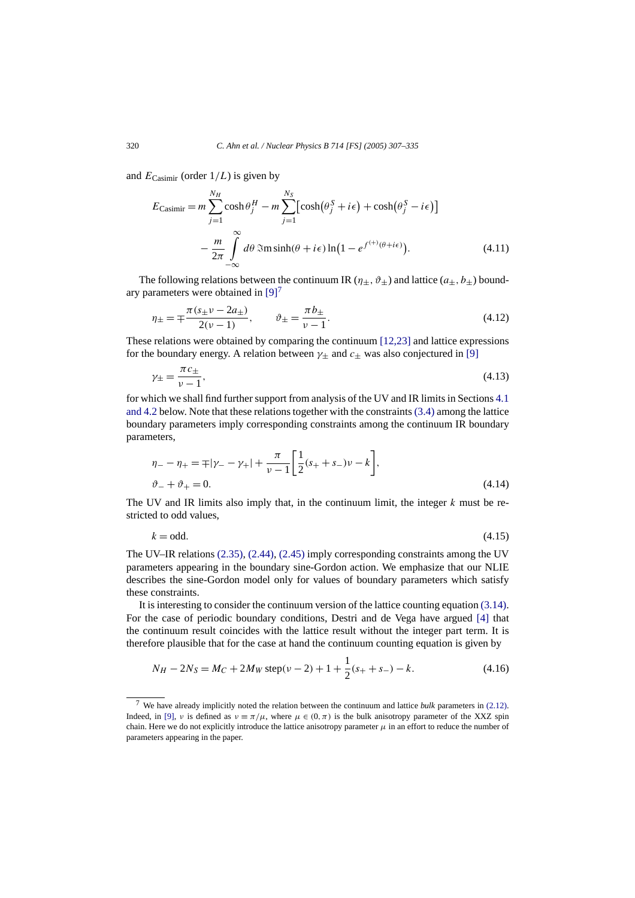<span id="page-13-0"></span>and  $E_{\text{Casimir}}$  (order  $1/L$ ) is given by

$$
E_{\text{Casimir}} = m \sum_{j=1}^{N_H} \cosh \theta_j^H - m \sum_{j=1}^{N_S} \left[ \cosh(\theta_j^S + i\epsilon) + \cosh(\theta_j^S - i\epsilon) \right]
$$

$$
- \frac{m}{2\pi} \int_{-\infty}^{\infty} d\theta \, \Im \text{m} \sinh(\theta + i\epsilon) \ln(1 - e^{f^{(+)}(\theta + i\epsilon)}). \tag{4.11}
$$

The following relations between the continuum IR  $(\eta_+, \vartheta_+)$  and lattice  $(a_+, b_+)$  boundary parameters were obtained in  $[9]<sup>7</sup>$ 

$$
\eta_{\pm} = \mp \frac{\pi (s_{\pm} \nu - 2a_{\pm})}{2(\nu - 1)}, \qquad \vartheta_{\pm} = \frac{\pi b_{\pm}}{\nu - 1}.
$$
\n(4.12)

These relations were obtained by comparing the continuum [\[12,23\]](#page-28-0) and lattice expressions for the boundary energy. A relation between  $\gamma_{\pm}$  and  $c_{\pm}$  was also conjectured in [\[9\]](#page-28-0)

$$
\gamma_{\pm} = \frac{\pi c_{\pm}}{\nu - 1},\tag{4.13}
$$

for which we shall find further support from analysis of the UV and IR limits in Sections [4.1](#page-14-0) [and 4.2](#page-14-0) below. Note that these relations together with the constraints [\(3.4\)](#page-9-0) among the lattice boundary parameters imply corresponding constraints among the continuum IR boundary parameters,

$$
\eta_{-} - \eta_{+} = \mp |\gamma_{-} - \gamma_{+}| + \frac{\pi}{\nu - 1} \left[ \frac{1}{2} (s_{+} + s_{-}) \nu - k \right],
$$
  
\n
$$
\vartheta_{-} + \vartheta_{+} = 0.
$$
\n(4.14)

The UV and IR limits also imply that, in the continuum limit, the integer *k* must be restricted to odd values,

 $k = \text{odd.}$  (4.15)

The UV–IR relations [\(2.35\),](#page-7-0) [\(2.44\),](#page-8-0) [\(2.45\)](#page-8-0) imply corresponding constraints among the UV parameters appearing in the boundary sine-Gordon action. We emphasize that our NLIE describes the sine-Gordon model only for values of boundary parameters which satisfy these constraints.

It is interesting to consider the continuum version of the lattice counting equation [\(3.14\).](#page-11-0) For the case of periodic boundary conditions, Destri and de Vega have argued [\[4\]](#page-27-0) that the continuum result coincides with the lattice result without the integer part term. It is therefore plausible that for the case at hand the continuum counting equation is given by

$$
N_H - 2N_S = M_C + 2M_W \text{ step}(\nu - 2) + 1 + \frac{1}{2}(s_+ + s_-) - k. \tag{4.16}
$$

<sup>7</sup> We have already implicitly noted the relation between the continuum and lattice *bulk* parameters in [\(2.12\).](#page-4-0) Indeed, in [\[9\],](#page-28-0) *ν* is defined as  $v = \pi/\mu$ , where  $\mu \in (0, \pi)$  is the bulk anisotropy parameter of the XXZ spin chain. Here we do not explicitly introduce the lattice anisotropy parameter  $\mu$  in an effort to reduce the number of parameters appearing in the paper.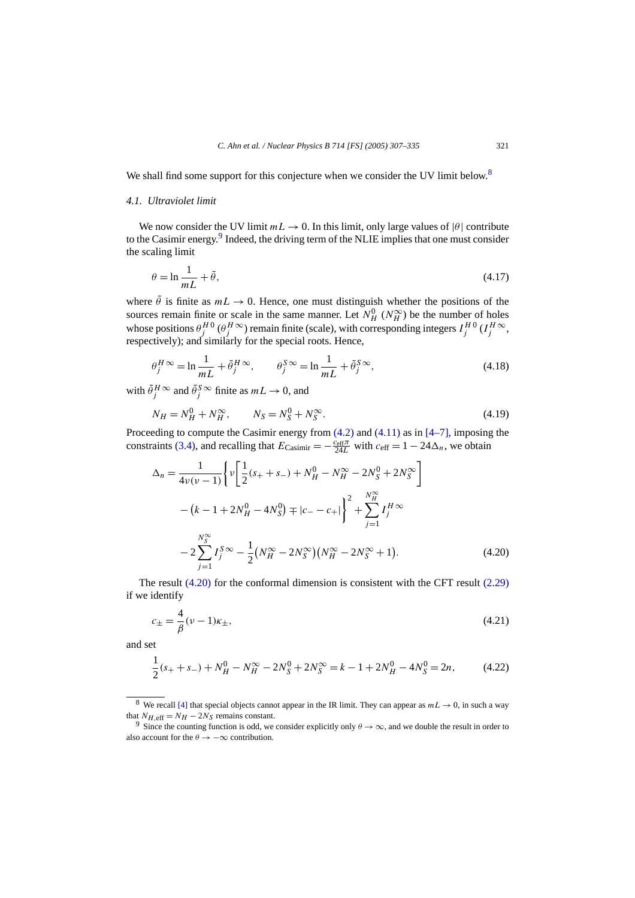<span id="page-14-0"></span>We shall find some support for this conjecture when we consider the UV limit below.<sup>8</sup>

# *4.1. Ultraviolet limit*

We now consider the UV limit  $mL \to 0$ . In this limit, only large values of  $|\theta|$  contribute to the Casimir energy.<sup>9</sup> Indeed, the driving term of the NLIE implies that one must consider the scaling limit

$$
\theta = \ln \frac{1}{m} + \tilde{\theta},\tag{4.17}
$$

where  $\tilde{\theta}$  is finite as  $mL \rightarrow 0$ . Hence, one must distinguish whether the positions of the sources remain finite or scale in the same manner. Let  $N_H^0$  ( $N_H^{\infty}$ ) be the number of holes whose positions  $\theta_j^{HO}(\theta_j^H \infty)$  remain finite (scale), with corresponding integers  $I_j^{HO}(I_j^H \infty)$ , respectively); and similarly for the special roots. Hence,

$$
\theta_j^H \infty = \ln \frac{1}{mL} + \tilde{\theta}_j^H \infty, \qquad \theta_j^S \infty = \ln \frac{1}{mL} + \tilde{\theta}_j^S \infty,
$$
\n(4.18)

with  $\tilde{\theta}^H_j$  ∞ and  $\tilde{\theta}^S_j$  ∞ finite as  $mL \to 0$ , and

$$
N_H = N_H^0 + N_H^\infty, \qquad N_S = N_S^0 + N_S^\infty. \tag{4.19}
$$

Proceeding to compute the Casimir energy from [\(4.2\)](#page-11-0) and [\(4.11\)](#page-13-0) as in [\[4–7\],](#page-27-0) imposing the constraints [\(3.4\),](#page-9-0) and recalling that  $E_{\text{Casimir}} = -\frac{c_{\text{eff}}\pi}{24L}$  with  $c_{\text{eff}} = 1 - 24\Delta_n$ , we obtain

$$
\Delta_n = \frac{1}{4\nu(\nu - 1)} \left\{ \nu \left[ \frac{1}{2} (s_+ + s_-) + N_H^0 - N_H^{\infty} - 2N_S^0 + 2N_S^{\infty} \right] - (k - 1 + 2N_H^0 - 4N_S^0) \mp |c_- - c_+| \right\}^2 + \sum_{j=1}^{N_H^{\infty}} I_j^H \approx -2 \sum_{j=1}^{N_S^{\infty}} I_j^S \approx -\frac{1}{2} (N_H^{\infty} - 2N_S^{\infty}) (N_H^{\infty} - 2N_S^{\infty} + 1).
$$
 (4.20)

The result (4.20) for the conformal dimension is consistent with the CFT result [\(2.29\)](#page-6-0) if we identify

$$
c_{\pm} = \frac{4}{\beta}(\nu - 1)\kappa_{\pm},\tag{4.21}
$$

and set

$$
\frac{1}{2}(s_+ + s_-) + N_H^0 - N_H^\infty - 2N_S^0 + 2N_S^\infty = k - 1 + 2N_H^0 - 4N_S^0 = 2n,\tag{4.22}
$$

<sup>&</sup>lt;sup>8</sup> We recall [\[4\]](#page-27-0) that special objects cannot appear in the IR limit. They can appear as  $mL \rightarrow 0$ , in such a way that  $N_{H,eff} = N_H - 2N_S$  remains constant.

<sup>&</sup>lt;sup>9</sup> Since the counting function is odd, we consider explicitly only  $\theta \to \infty$ , and we double the result in order to also account for the  $\theta \rightarrow -\infty$  contribution.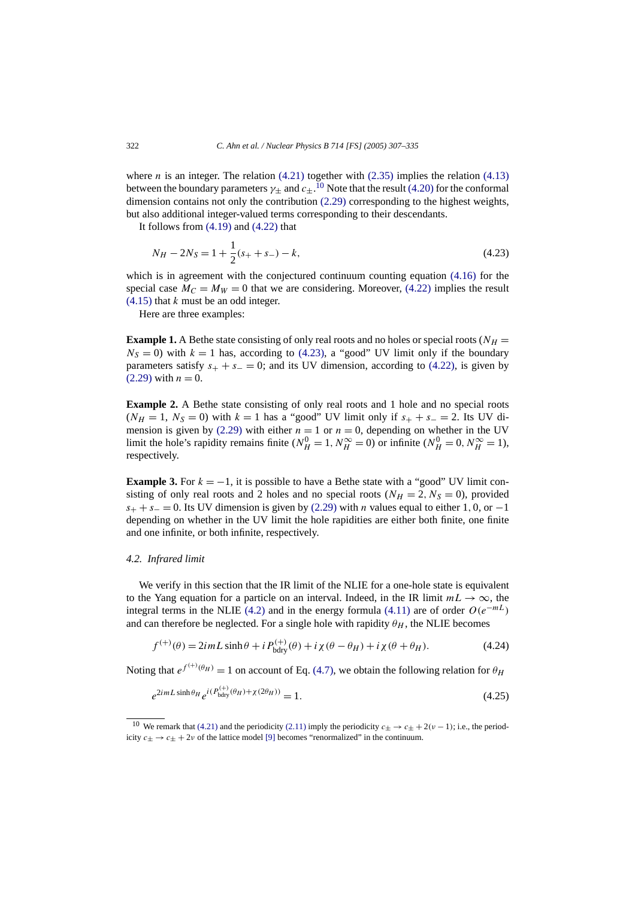<span id="page-15-0"></span>where *n* is an integer. The relation  $(4.21)$  together with  $(2.35)$  implies the relation  $(4.13)$ between the boundary parameters  $\gamma_\pm$  and  $c_\pm$ .<sup>10</sup> Note that the result [\(4.20\)](#page-14-0) for the conformal dimension contains not only the contribution [\(2.29\)](#page-6-0) corresponding to the highest weights, but also additional integer-valued terms corresponding to their descendants.

It follows from  $(4.19)$  and  $(4.22)$  that

$$
N_H - 2N_S = 1 + \frac{1}{2}(s_+ + s_-) - k,\tag{4.23}
$$

which is in agreement with the conjectured continuum counting equation [\(4.16\)](#page-13-0) for the special case  $M_C = M_W = 0$  that we are considering. Moreover, [\(4.22\)](#page-14-0) implies the result [\(4.15\)](#page-13-0) that *k* must be an odd integer.

Here are three examples:

**Example 1.** A Bethe state consisting of only real roots and no holes or special roots ( $N_H$  =  $N<sub>S</sub> = 0$ ) with  $k = 1$  has, according to (4.23), a "good" UV limit only if the boundary parameters satisfy  $s_+ + s_- = 0$ ; and its UV dimension, according to [\(4.22\),](#page-14-0) is given by  $(2.29)$  with  $n = 0$ .

**Example 2.** A Bethe state consisting of only real roots and 1 hole and no special roots  $(N_H = 1, N_S = 0)$  with  $k = 1$  has a "good" UV limit only if  $s_+ + s_- = 2$ . Its UV di-mension is given by [\(2.29\)](#page-6-0) with either  $n = 1$  or  $n = 0$ , depending on whether in the UV limit the hole's rapidity remains finite ( $N_H^0 = 1$ ,  $N_H^{\infty} = 0$ ) or infinite ( $N_H^0 = 0$ ,  $N_H^{\infty} = 1$ ), respectively.

**Example 3.** For  $k = -1$ , it is possible to have a Bethe state with a "good" UV limit consisting of only real roots and 2 holes and no special roots  $(N_H = 2, N_S = 0)$ , provided  $s_+ + s_- = 0$ . Its UV dimension is given by [\(2.29\)](#page-6-0) with *n* values equal to either 1, 0, or −1 depending on whether in the UV limit the hole rapidities are either both finite, one finite and one infinite, or both infinite, respectively.

## *4.2. Infrared limit*

We verify in this section that the IR limit of the NLIE for a one-hole state is equivalent to the Yang equation for a particle on an interval. Indeed, in the IR limit  $mL \to \infty$ , the integral terms in the NLIE [\(4.2\)](#page-11-0) and in the energy formula [\(4.11\)](#page-13-0) are of order  $O(e^{-mL})$ and can therefore be neglected. For a single hole with rapidity  $\theta_H$ , the NLIE becomes

$$
f^{(+)}(\theta) = 2imL\sinh\theta + iP_{\text{bdry}}^{(+)}(\theta) + i\chi(\theta - \theta_H) + i\chi(\theta + \theta_H). \tag{4.24}
$$

Noting that  $e^{f^{(+)}(\theta_H)} = 1$  on account of Eq. [\(4.7\),](#page-12-0) we obtain the following relation for  $\theta_H$ 

$$
e^{2imL\sinh\theta_H}e^{i(P_{\text{bdry}}^{(+)}(\theta_H)+\chi(2\theta_H))}=1.
$$
\n(4.25)

<sup>&</sup>lt;sup>10</sup> We remark that [\(4.21\)](#page-14-0) and the periodicity [\(2.11\)](#page-3-0) imply the periodicity  $c_{+} \rightarrow c_{+} + 2(\nu - 1)$ ; i.e., the periodicity  $c_{\pm} \rightarrow c_{\pm} + 2\nu$  of the lattice model [\[9\]](#page-28-0) becomes "renormalized" in the continuum.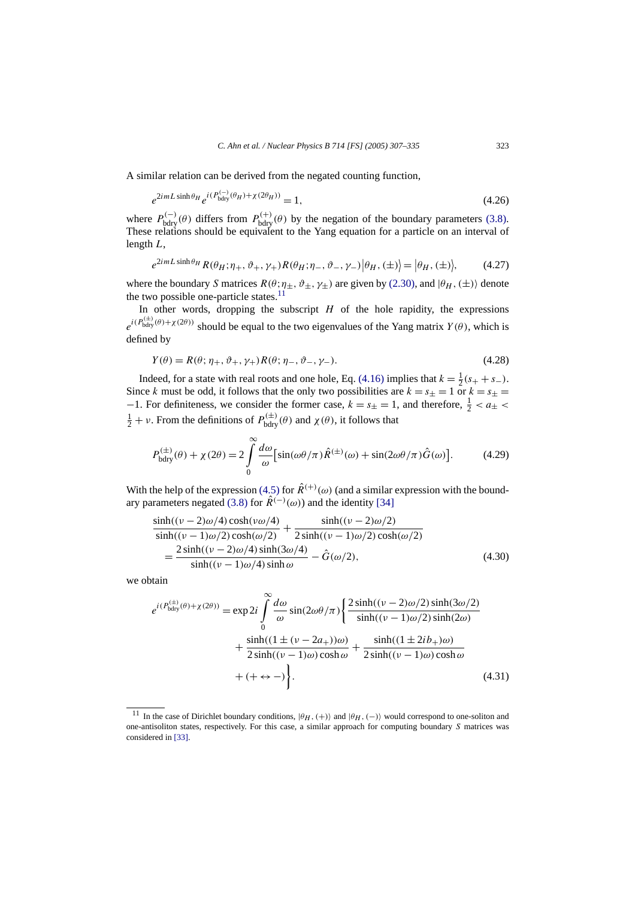<span id="page-16-0"></span>A similar relation can be derived from the negated counting function,

$$
e^{2imL\sinh\theta_H}e^{i(P_{\text{bdry}}^{(-)}(\theta_H)+\chi(2\theta_H))}=1,
$$
\n(4.26)

where  $P_{\text{bdry}}^{(-)}(\theta)$  differs from  $P_{\text{bdry}}^{(+)}(\theta)$  by the negation of the boundary parameters [\(3.8\).](#page-9-0) These relations should be equivalent to the Yang equation for a particle on an interval of length *L*,

$$
e^{2imL\sinh\theta_H}R(\theta_H;\eta_+,\vartheta_+,\gamma_+)R(\theta_H;\eta_-,\vartheta_-,\gamma_-)|\theta_H,(\pm)\rangle=|\theta_H,(\pm)\rangle,\qquad(4.27)
$$

where the boundary *S* matrices  $R(\theta; \eta_{\pm}, \vartheta_{\pm}, \gamma_{\pm})$  are given by [\(2.30\),](#page-6-0) and  $|\theta_H, (\pm)\rangle$  denote the two possible one-particle states. $11$ 

In other words, dropping the subscript  $H$  of the hole rapidity, the expressions  $e^{i(P_{\text{bdry}}^{(\pm)}(\theta) + \chi(2\theta))}$  should be equal to the two eigenvalues of the Yang matrix *Y(θ)*, which is defined by

$$
Y(\theta) = R(\theta; \eta_+, \vartheta_+, \gamma_+) R(\theta; \eta_-, \vartheta_-, \gamma_-). \tag{4.28}
$$

Indeed, for a state with real roots and one hole, Eq. [\(4.16\)](#page-13-0) implies that  $k = \frac{1}{2}(s_{+} + s_{-})$ . Since *k* must be odd, it follows that the only two possibilities are  $k = s_+ = 1$  or  $k = s_+ =$  $-1$ . For definiteness, we consider the former case,  $k = s_{\pm} = 1$ , and therefore,  $\frac{1}{2} < a_{\pm} < a_{\pm}$  $\frac{1}{2} + \nu$ . From the definitions of  $P_{\text{bdry}}^{(\pm)}(\theta)$  and  $\chi(\theta)$ , it follows that

$$
P_{\text{bdry}}^{(\pm)}(\theta) + \chi(2\theta) = 2 \int_{0}^{\infty} \frac{d\omega}{\omega} \left[ \sin(\omega\theta/\pi) \hat{R}^{(\pm)}(\omega) + \sin(2\omega\theta/\pi) \hat{G}(\omega) \right].
$$
 (4.29)

With the help of the expression [\(4.5\)](#page-12-0) for  $\hat{R}^{(+)}(\omega)$  (and a similar expression with the bound-ary parameters negated [\(3.8\)](#page-9-0) for  $\hat{R}^{(-)}(\omega)$  and the identity [\[34\]](#page-28-0)

$$
\frac{\sinh((\nu - 2)\omega/4)\cosh(\nu\omega/4)}{\sinh((\nu - 1)\omega/2)\cosh(\omega/2)} + \frac{\sinh((\nu - 2)\omega/2)}{2\sinh((\nu - 1)\omega/2)\cosh(\omega/2)} \n= \frac{2\sinh((\nu - 2)\omega/4)\sinh(3\omega/4)}{\sinh((\nu - 1)\omega/4)\sinh\omega} - \hat{G}(\omega/2),
$$
\n(4.30)

we obtain

$$
e^{i(P_{\text{bdry}}^{(\pm)}(\theta)+\chi(2\theta))} = \exp 2i \int_{0}^{\infty} \frac{d\omega}{\omega} \sin(2\omega\theta/\pi) \left\{ \frac{2\sinh((\nu-2)\omega/2)\sinh(3\omega/2)}{\sinh((\nu-1)\omega/2)\sinh(2\omega)} + \frac{\sinh((1\pm(\nu-2a_{+}))\omega)}{2\sinh((\nu-1)\omega)\cosh\omega} + \frac{\sinh((1\pm 2ib_{+})\omega)}{2\sinh((\nu-1)\omega)\cosh\omega} + (+\leftrightarrow -)\right\}.
$$
\n(4.31)

<sup>&</sup>lt;sup>11</sup> In the case of Dirichlet boundary conditions,  $|\theta_H, (+)\rangle$  and  $|\theta_H, (-)\rangle$  would correspond to one-soliton and one-antisoliton states, respectively. For this case, a similar approach for computing boundary *S* matrices was considered in [\[33\].](#page-28-0)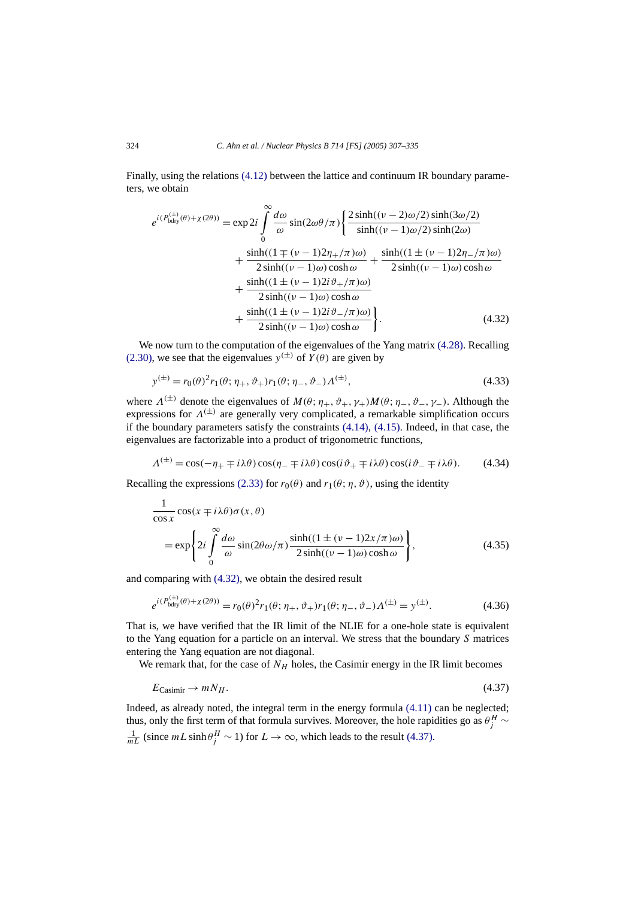<span id="page-17-0"></span>Finally, using the relations [\(4.12\)](#page-13-0) between the lattice and continuum IR boundary parameters, we obtain

$$
e^{i(P_{\text{bdry}}^{(\pm)}(\theta)+\chi(2\theta))} = \exp 2i \int_{0}^{\infty} \frac{d\omega}{\omega} \sin(2\omega\theta/\pi) \left\{ \frac{2\sinh((\nu-2)\omega/2)\sinh(3\omega/2)}{\sinh((\nu-1)\omega/2)\sinh(2\omega)} + \frac{\sinh((1\mp(\nu-1)2\eta+\pi)\omega)}{2\sinh((\nu-1)\omega)\cosh\omega} + \frac{\sinh((1\pm(\nu-1)2\eta+\pi)\omega)}{2\sinh((\nu-1)\omega)\cosh\omega} + \frac{\sinh((1\pm(\nu-1)2i\vartheta+\pi)\omega)}{2\sinh((\nu-1)\omega)\cosh\omega} + \frac{\sinh((1\pm(\nu-1)2i\vartheta+\pi)\omega)}{2\sinh((\nu-1)\omega)\cosh\omega} \right\}.
$$
(4.32)

We now turn to the computation of the eigenvalues of the Yang matrix [\(4.28\).](#page-16-0) Recalling [\(2.30\),](#page-6-0) we see that the eigenvalues  $y^{(\pm)}$  of  $Y(\theta)$  are given by

$$
y^{(\pm)} = r_0(\theta)^2 r_1(\theta; \eta_+, \vartheta_+) r_1(\theta; \eta_-, \vartheta_-) \Lambda^{(\pm)},
$$
\n(4.33)

where  $\Lambda^{(\pm)}$  denote the eigenvalues of  $M(\theta; \eta_+, \vartheta_+, \gamma_+)M(\theta; \eta_-, \vartheta_-, \gamma_-)$ . Although the expressions for  $\Lambda^{(\pm)}$  are generally very complicated, a remarkable simplification occurs if the boundary parameters satisfy the constraints  $(4.14)$ ,  $(4.15)$ . Indeed, in that case, the eigenvalues are factorizable into a product of trigonometric functions,

$$
\Lambda^{(\pm)} = \cos(-\eta_+ \mp i\lambda\theta)\cos(\eta_- \mp i\lambda\theta)\cos(i\vartheta_+ \mp i\lambda\theta)\cos(i\vartheta_- \mp i\lambda\theta). \tag{4.34}
$$

Recalling the expressions [\(2.33\)](#page-6-0) for  $r_0(\theta)$  and  $r_1(\theta; \eta, \vartheta)$ , using the identity

$$
\frac{1}{\cos x} \cos(x \mp i\lambda\theta) \sigma(x, \theta)
$$
  
=  $\exp\left\{2i \int_{0}^{\infty} \frac{d\omega}{\omega} \sin(2\theta \omega/\pi) \frac{\sinh((1 \pm (\nu - 1)2x/\pi)\omega)}{2\sinh((\nu - 1)\omega)\cosh\omega}\right\},$  (4.35)

and comparing with (4.32), we obtain the desired result

$$
e^{i(P_{\text{bdry}}^{(\pm)}(\theta) + \chi(2\theta))} = r_0(\theta)^2 r_1(\theta; \eta_+, \vartheta_+) r_1(\theta; \eta_-, \vartheta_-) \Lambda^{(\pm)} = y^{(\pm)}.
$$
 (4.36)

That is, we have verified that the IR limit of the NLIE for a one-hole state is equivalent to the Yang equation for a particle on an interval. We stress that the boundary *S* matrices entering the Yang equation are not diagonal.

We remark that, for the case of  $N_H$  holes, the Casimir energy in the IR limit becomes

$$
E_{\text{Casimir}} \to m N_H. \tag{4.37}
$$

Indeed, as already noted, the integral term in the energy formula [\(4.11\)](#page-13-0) can be neglected; thus, only the first term of that formula survives. Moreover, the hole rapidities go as  $\theta_j^H \sim$  $\frac{1}{mL}$  (since  $mL \sinh \theta_j^H$  ∼ 1) for  $L \to \infty$ , which leads to the result (4.37).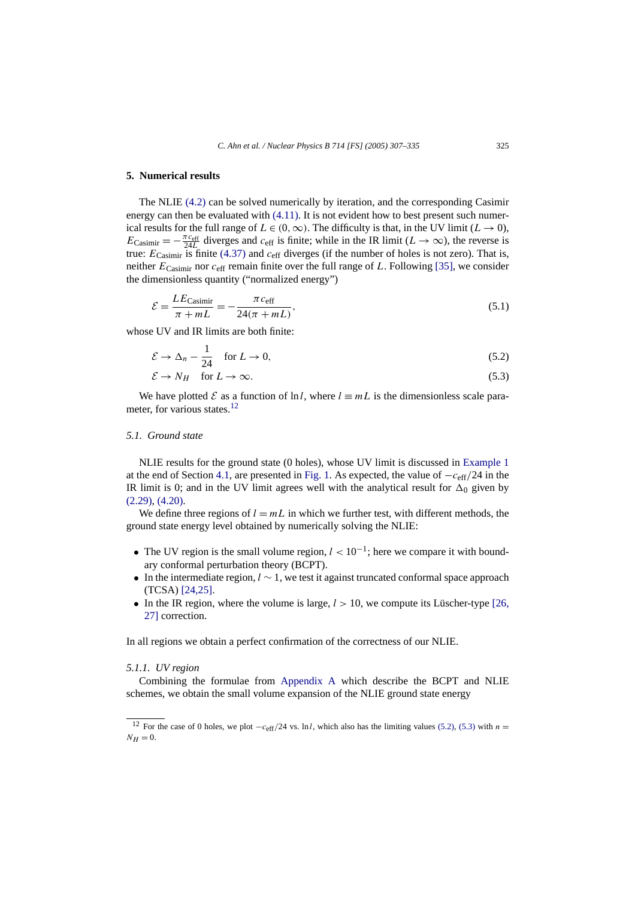# <span id="page-18-0"></span>**5. Numerical results**

The NLIE [\(4.2\)](#page-11-0) can be solved numerically by iteration, and the corresponding Casimir energy can then be evaluated with [\(4.11\).](#page-13-0) It is not evident how to best present such numerical results for the full range of  $L \in (0, \infty)$ . The difficulty is that, in the UV limit  $(L \to 0)$ ,  $E_{\text{Casimir}} = -\frac{\pi c_{\text{eff}}}{24L}$  diverges and  $c_{\text{eff}}$  is finite; while in the IR limit ( $L \to \infty$ ), the reverse is true: *E*Casimir is finite [\(4.37\)](#page-17-0) and *c*eff diverges (if the number of holes is not zero). That is, neither  $E_{\text{Casimir}}$  nor  $c_{\text{eff}}$  remain finite over the full range of *L*. Following [\[35\],](#page-28-0) we consider the dimensionless quantity ("normalized energy")

$$
\mathcal{E} = \frac{LE_{\text{Casimir}}}{\pi + mL} = -\frac{\pi c_{\text{eff}}}{24(\pi + mL)},
$$
\n(5.1)

whose UV and IR limits are both finite:

$$
\mathcal{E} \to \Delta_n - \frac{1}{24} \quad \text{for } L \to 0,
$$
\n(5.2)

$$
\mathcal{E} \to N_H \quad \text{for } L \to \infty. \tag{5.3}
$$

We have plotted E as a function of ln l, where  $l \equiv mL$  is the dimensionless scale parameter, for various states.<sup>12</sup>

## *5.1. Ground state*

NLIE results for the ground state (0 holes), whose UV limit is discussed in [Example 1](#page-15-0) at the end of Section [4.1,](#page-14-0) are presented in [Fig. 1.](#page-19-0) As expected, the value of −*c*eff*/*24 in the IR limit is 0; and in the UV limit agrees well with the analytical result for  $\Delta_0$  given by [\(2.29\),](#page-6-0) [\(4.20\).](#page-14-0)

We define three regions of  $l = mL$  in which we further test, with different methods, the ground state energy level obtained by numerically solving the NLIE:

- The UV region is the small volume region,  $l < 10^{-1}$ ; here we compare it with boundary conformal perturbation theory (BCPT).
- In the intermediate region, *l* ∼ 1, we test it against truncated conformal space approach (TCSA) [\[24,25\].](#page-28-0)
- In the IR region, where the volume is large,  $l > 10$ , we compute its Lüscher-type [\[26,](#page-28-0) [27\]](#page-28-0) correction.

In all regions we obtain a perfect confirmation of the correctness of our NLIE.

# *5.1.1. UV region*

Combining the formulae from [Appendix A](#page-23-0) which describe the BCPT and NLIE schemes, we obtain the small volume expansion of the NLIE ground state energy

<sup>&</sup>lt;sup>12</sup> For the case of 0 holes, we plot  $-c_{\text{eff}}/24$  vs. ln *l*, which also has the limiting values (5.2), (5.3) with  $n =$  $N_H = 0$ .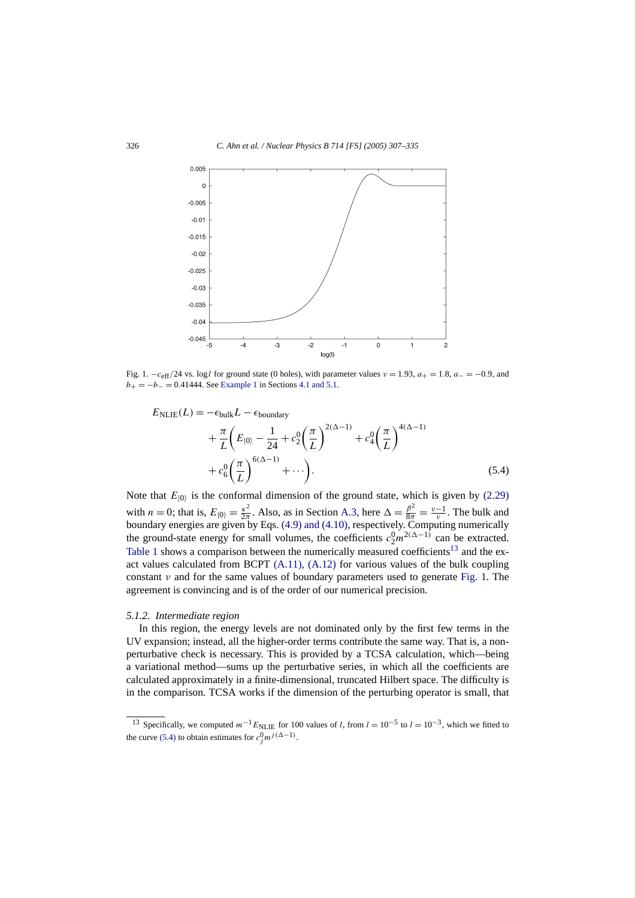<span id="page-19-0"></span>

Fig. 1.  $-c<sub>eff</sub>/24$  vs. log *l* for ground state (0 holes), with parameter values  $v = 1.93$ ,  $a<sub>+</sub> = 1.8$ ,  $a<sub>-</sub> = -0.9$ , and  $b_{+} = -b_{-} = 0.41444$ . See [Example 1](#page-15-0) in Sections [4.1 and 5.1.](#page-14-0)

$$
E_{\text{NLIE}}(L) = -\epsilon_{\text{bulk}}L - \epsilon_{\text{boundary}}
$$
  
+  $\frac{\pi}{L} \left( E_{|0\rangle} - \frac{1}{24} + c_2^0 \left( \frac{\pi}{L} \right)^{2(\Delta - 1)} + c_4^0 \left( \frac{\pi}{L} \right)^{4(\Delta - 1)} + c_6^0 \left( \frac{\pi}{L} \right)^{6(\Delta - 1)} + \cdots \right).$  (5.4)

Note that  $E_{|0\rangle}$  is the conformal dimension of the ground state, which is given by [\(2.29\)](#page-6-0) with *n* = 0; that is,  $E_{|0\rangle} = \frac{\kappa^2}{2\pi}$ . Also, as in Section [A.3,](#page-26-0) here  $\Delta = \frac{\beta^2}{8\pi} = \frac{v-1}{v}$ . The bulk and boundary energies are given by Eqs. [\(4.9\) and \(4.10\),](#page-12-0) respectively. Computing numerically the ground-state energy for small volumes, the coefficients  $c_2^0 m^{2(\Delta-1)}$  can be extracted. [Table 1](#page-20-0) shows a comparison between the numerically measured coefficients<sup>13</sup> and the exact values calculated from BCPT  $(A.11)$ ,  $(A.12)$  for various values of the bulk coupling constant *ν* and for the same values of boundary parameters used to generate Fig. 1. The agreement is convincing and is of the order of our numerical precision.

#### *5.1.2. Intermediate region*

In this region, the energy levels are not dominated only by the first few terms in the UV expansion; instead, all the higher-order terms contribute the same way. That is, a nonperturbative check is necessary. This is provided by a TCSA calculation, which—being a variational method—sums up the perturbative series, in which all the coefficients are calculated approximately in a finite-dimensional, truncated Hilbert space. The difficulty is in the comparison. TCSA works if the dimension of the perturbing operator is small, that

<sup>&</sup>lt;sup>13</sup> Specifically, we computed  $m^{-1}E_{\text{NLIE}}$  for 100 values of *l*, from  $l = 10^{-5}$  to  $l = 10^{-3}$ , which we fitted to the curve (5.4) to obtain estimates for  $c_j^0 m^{j(\Delta - 1)}$ .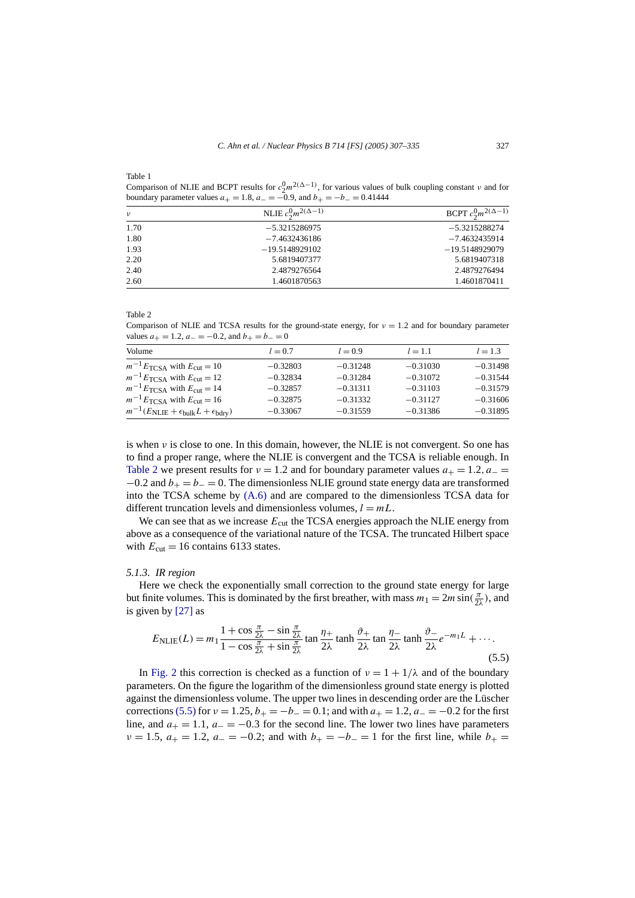<span id="page-20-0"></span>Table 1

Comparison of NLIE and BCPT results for  $c_2^0 m^{2(\Delta-1)}$ , for various values of bulk coupling constant *v* and for boundary parameter values  $a_{+} = 1.8$ ,  $a_{-} = -0.9$ , and  $b_{+} = -b_{-} = 0.41444$ 

| $\nu$ | NLIE $c_2^0 m^{2(\Delta-1)}$ | BCPT $c_2^0 m^{2(\Delta-1)}$ |
|-------|------------------------------|------------------------------|
| 1.70  | $-5.3215286975$              | $-5.3215288274$              |
| 1.80  | $-7.4632436186$              | $-7.4632435914$              |
| 1.93  | $-19.5148929102$             | $-19.5148929079$             |
| 2.20  | 5.6819407377                 | 5.6819407318                 |
| 2.40  | 2.4879276564                 | 2.4879276494                 |
| 2.60  | 1.4601870563                 | 1.4601870411                 |

Table 2

Comparison of NLIE and TCSA results for the ground-state energy, for  $\nu = 1.2$  and for boundary parameter values  $a_{+} = 1.2$ ,  $a_{-} = -0.2$ , and  $b_{+} = b_{-} = 0$ 

| Volume                                                                       | $l = 0.7$  | $l = 0.9$  | $l = 1.1$  | $l = 1.3$  |
|------------------------------------------------------------------------------|------------|------------|------------|------------|
| $m^{-1}E_{\text{TCSA}}$ with $E_{\text{cut}} = 10$                           | $-0.32803$ | $-0.31248$ | $-0.31030$ | $-0.31498$ |
| $m^{-1}E_{\text{TCSA}}$ with $E_{\text{cut}} = 12$                           | $-0.32834$ | $-0.31284$ | $-0.31072$ | $-0.31544$ |
| $m^{-1}E_{\text{TCSA}}$ with $E_{\text{cut}} = 14$                           | $-0.32857$ | $-0.31311$ | $-0.31103$ | $-0.31579$ |
| $m^{-1}E_{\text{TCSA}}$ with $E_{\text{cut}} = 16$                           | $-0.32875$ | $-0.31332$ | $-0.31127$ | $-0.31606$ |
| $m^{-1}(E_{\text{NLIE}} + \epsilon_{\text{bulk}}L + \epsilon_{\text{bdry}})$ | $-0.33067$ | $-0.31559$ | $-0.31386$ | $-0.31895$ |

is when *ν* is close to one. In this domain, however, the NLIE is not convergent. So one has to find a proper range, where the NLIE is convergent and the TCSA is reliable enough. In Table 2 we present results for  $v = 1.2$  and for boundary parameter values  $a_{+} = 1.2$ ,  $a_{-} =$  $-0.2$  and  $b_+ = b_- = 0$ . The dimensionless NLIE ground state energy data are transformed into the TCSA scheme by [\(A.6\)](#page-25-0) and are compared to the dimensionless TCSA data for different truncation levels and dimensionless volumes,  $l = mL$ .

We can see that as we increase  $E_{\text{cut}}$  the TCSA energies approach the NLIE energy from above as a consequence of the variational nature of the TCSA. The truncated Hilbert space with  $E_{\text{cut}} = 16$  contains 6133 states.

#### *5.1.3. IR region*

Here we check the exponentially small correction to the ground state energy for large but finite volumes. This is dominated by the first breather, with mass  $m_1 = 2m \sin(\frac{\pi}{2\lambda})$ , and is given by [\[27\]](#page-28-0) as

$$
E_{\text{NLIE}}(L) = m_1 \frac{1 + \cos \frac{\pi}{2\lambda} - \sin \frac{\pi}{2\lambda}}{1 - \cos \frac{\pi}{2\lambda} + \sin \frac{\pi}{2\lambda}} \tan \frac{\eta_+}{2\lambda} \tan \frac{\eta_-}{2\lambda} \tan \frac{\eta_-}{2\lambda} e^{-m_1 L} + \cdots
$$
\n(5.5)

In [Fig. 2](#page-21-0) this correction is checked as a function of  $v = 1 + 1/\lambda$  and of the boundary parameters. On the figure the logarithm of the dimensionless ground state energy is plotted against the dimensionless volume. The upper two lines in descending order are the Lüscher corrections (5.5) for  $\nu = 1.25$ ,  $b_{+} = -b_{-} = 0.1$ ; and with  $a_{+} = 1.2$ ,  $a_{-} = -0.2$  for the first line, and  $a_+ = 1.1$ ,  $a_- = -0.3$  for the second line. The lower two lines have parameters  $\nu = 1.5$ ,  $a_{+} = 1.2$ ,  $a_{-} = -0.2$ ; and with  $b_{+} = -b_{-} = 1$  for the first line, while  $b_{+} =$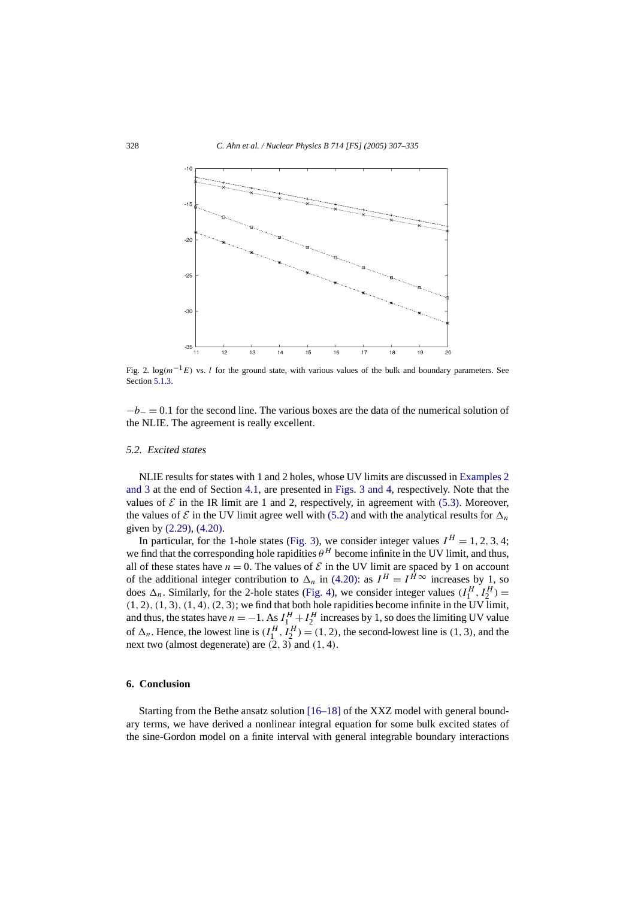<span id="page-21-0"></span>

Fig. 2. log*(m*−1*E)* vs. *l* for the ground state, with various values of the bulk and boundary parameters. See Section [5.1.3.](#page-20-0)

−*b*<sup>−</sup> = 0*.*1 for the second line. The various boxes are the data of the numerical solution of the NLIE. The agreement is really excellent.

# *5.2. Excited states*

NLIE results for states with 1 and 2 holes, whose UV limits are discussed in [Examples 2](#page-15-0) [and 3](#page-15-0) at the end of Section [4.1,](#page-14-0) are presented in [Figs. 3 and 4,](#page-22-0) respectively. Note that the values of  $\mathcal E$  in the IR limit are 1 and 2, respectively, in agreement with [\(5.3\).](#page-18-0) Moreover, the values of  $\mathcal E$  in the UV limit agree well with [\(5.2\)](#page-18-0) and with the analytical results for  $\Delta_n$ given by [\(2.29\),](#page-6-0) [\(4.20\).](#page-14-0)

In particular, for the 1-hole states [\(Fig. 3\)](#page-22-0), we consider integer values  $I^H = 1, 2, 3, 4$ ; we find that the corresponding hole rapidities  $\theta^H$  become infinite in the UV limit, and thus, all of these states have  $n = 0$ . The values of  $\mathcal E$  in the UV limit are spaced by 1 on account of the additional integer contribution to  $\Delta_n$  in [\(4.20\):](#page-14-0) as  $I^H = I^{\bar{H}\infty}$  increases by 1, so does  $\Delta_n$ . Similarly, for the 2-hole states [\(Fig. 4\)](#page-22-0), we consider integer values  $(I_1^H, I_2^H)$  =  $(1, 2), (1, 3), (1, 4), (2, 3)$ ; we find that both hole rapidities become infinite in the UV limit, and thus, the states have  $n = -1$ . As  $I_1^H + I_2^H$  increases by 1, so does the limiting UV value of  $\Delta_n$ . Hence, the lowest line is  $(I_1^H, I_2^H) = (1, 2)$ , the second-lowest line is  $(1, 3)$ , and the next two (almost degenerate) are *(*2*,* 3*)* and *(*1*,* 4*)*.

# **6. Conclusion**

Starting from the Bethe ansatz solution [\[16–18\]](#page-28-0) of the XXZ model with general boundary terms, we have derived a nonlinear integral equation for some bulk excited states of the sine-Gordon model on a finite interval with general integrable boundary interactions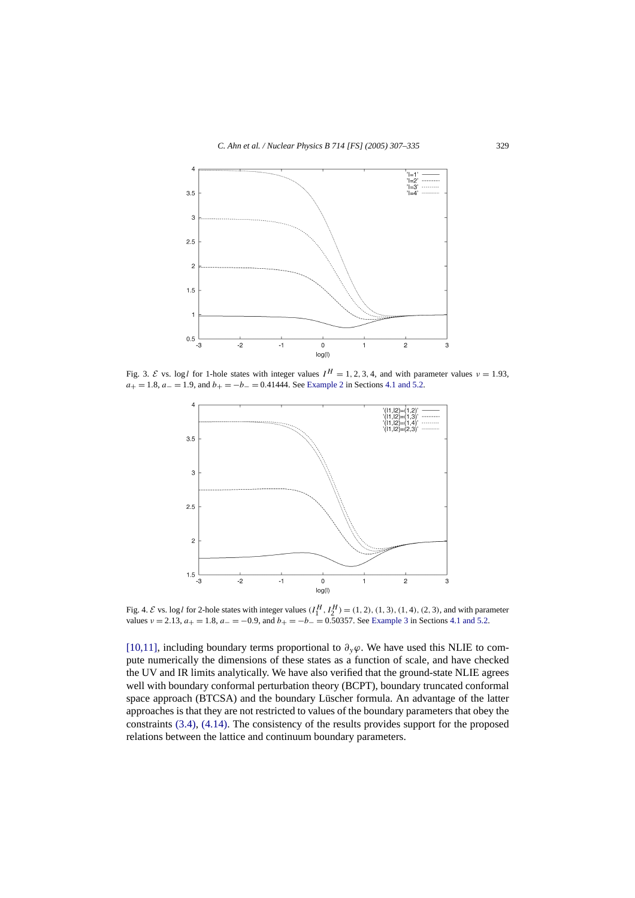<span id="page-22-0"></span>

Fig. 3. E vs. log *l* for 1-hole states with integer values  $I^H = 1, 2, 3, 4$ , and with parameter values  $\nu = 1.93$ ,  $a_+ = 1.8$ ,  $a_-=1.9$ , and  $b_+=-b_-=0.41444$ . See [Example 2](#page-15-0) in Sections [4.1 and 5.2.](#page-14-0)



Fig. 4.  $\mathcal E$  vs. log l for 2-hole states with integer values  $(I_1^H, I_2^H) = (1, 2), (1, 3), (1, 4), (2, 3)$ , and with parameter values  $v = 2.13$ ,  $a_{+} = 1.8$ ,  $a_{-} = -0.9$ , and  $b_{+} = -b_{-} = 0.50357$ . See [Example 3](#page-15-0) in Sections [4.1 and 5.2.](#page-14-0)

[\[10,11\],](#page-28-0) including boundary terms proportional to  $\partial_y\varphi$ . We have used this NLIE to compute numerically the dimensions of these states as a function of scale, and have checked the UV and IR limits analytically. We have also verified that the ground-state NLIE agrees well with boundary conformal perturbation theory (BCPT), boundary truncated conformal space approach (BTCSA) and the boundary Lüscher formula. An advantage of the latter approaches is that they are not restricted to values of the boundary parameters that obey the constraints [\(3.4\),](#page-9-0) [\(4.14\).](#page-13-0) The consistency of the results provides support for the proposed relations between the lattice and continuum boundary parameters.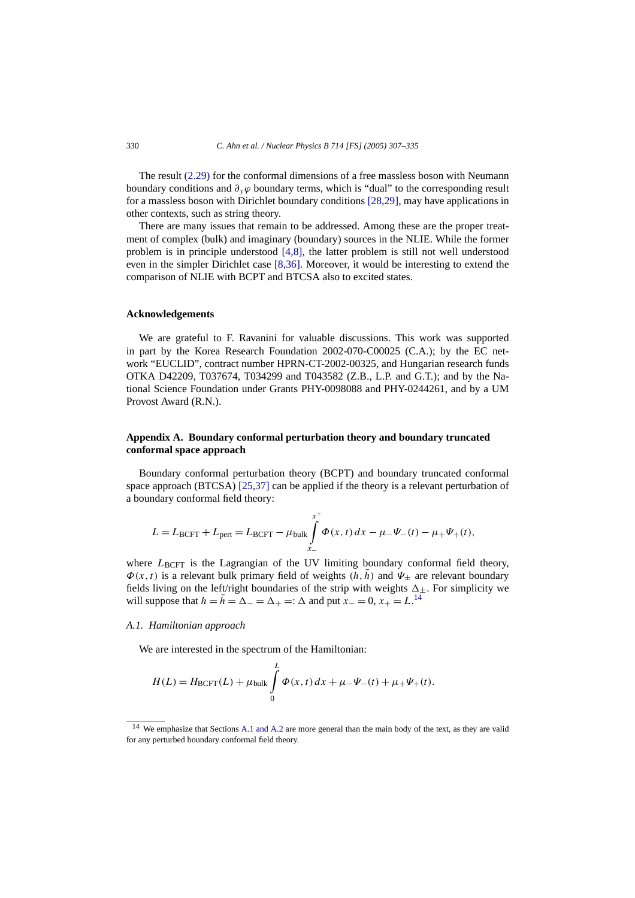<span id="page-23-0"></span>The result [\(2.29\)](#page-6-0) for the conformal dimensions of a free massless boson with Neumann boundary conditions and *∂yϕ* boundary terms, which is "dual" to the corresponding result for a massless boson with Dirichlet boundary conditions [\[28,29\],](#page-28-0) may have applications in other contexts, such as string theory.

There are many issues that remain to be addressed. Among these are the proper treatment of complex (bulk) and imaginary (boundary) sources in the NLIE. While the former problem is in principle understood [\[4,8\],](#page-27-0) the latter problem is still not well understood even in the simpler Dirichlet case [\[8,36\].](#page-28-0) Moreover, it would be interesting to extend the comparison of NLIE with BCPT and BTCSA also to excited states.

#### **Acknowledgements**

We are grateful to F. Ravanini for valuable discussions. This work was supported in part by the Korea Research Foundation 2002-070-C00025 (C.A.); by the EC network "EUCLID", contract number HPRN-CT-2002-00325, and Hungarian research funds OTKA D42209, T037674, T034299 and T043582 (Z.B., L.P. and G.T.); and by the National Science Foundation under Grants PHY-0098088 and PHY-0244261, and by a UM Provost Award (R.N.).

# **Appendix A. Boundary conformal perturbation theory and boundary truncated conformal space approach**

Boundary conformal perturbation theory (BCPT) and boundary truncated conformal space approach (BTCSA) [\[25,37\]](#page-28-0) can be applied if the theory is a relevant perturbation of a boundary conformal field theory:

$$
L = L_{\text{BCFT}} + L_{\text{pert}} = L_{\text{BCFT}} - \mu_{\text{bulk}} \int_{x_{-}}^{x_{+}} \Phi(x, t) \, dx - \mu_{-} \Psi_{-}(t) - \mu_{+} \Psi_{+}(t),
$$

where  $L_{\text{BCFT}}$  is the Lagrangian of the UV limiting boundary conformal field theory,  $\Phi(x, t)$  is a relevant bulk primary field of weights  $(h, \bar{h})$  and  $\Psi_{+}$  are relevant boundary fields living on the left/right boundaries of the strip with weights  $\Delta_{\pm}$ . For simplicity we will suppose that  $h = \bar{h} = \Delta_+ =:$   $\Delta$  and put  $x = 0, x_+ = L$ .<sup>14</sup>

## *A.1. Hamiltonian approach*

We are interested in the spectrum of the Hamiltonian:

$$
H(L) = H_{\text{BCFT}}(L) + \mu_{\text{bulk}} \int_{0}^{L} \Phi(x, t) dx + \mu_{-} \Psi_{-}(t) + \mu_{+} \Psi_{+}(t).
$$

<sup>&</sup>lt;sup>14</sup> We emphasize that Sections A.1 and A.2 are more general than the main body of the text, as they are valid for any perturbed boundary conformal field theory.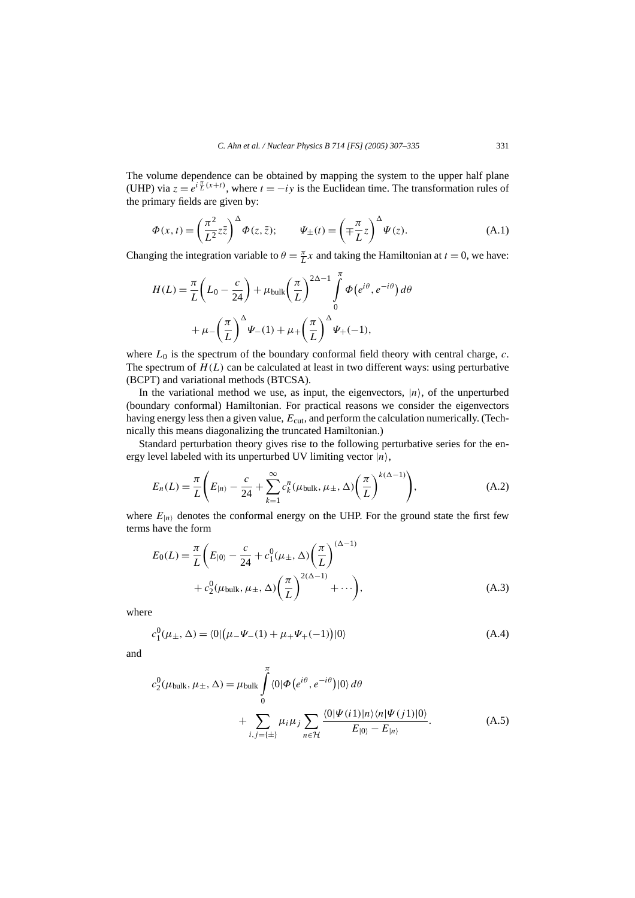<span id="page-24-0"></span>The volume dependence can be obtained by mapping the system to the upper half plane (UHP) via  $z = e^{i\frac{\pi}{L}(x+t)}$ , where  $t = -iy$  is the Euclidean time. The transformation rules of the primary fields are given by:

$$
\Phi(x,t) = \left(\frac{\pi^2}{L^2}z\bar{z}\right)^{\Delta}\Phi(z,\bar{z}); \qquad \Psi_{\pm}(t) = \left(\mp\frac{\pi}{L}z\right)^{\Delta}\Psi(z). \tag{A.1}
$$

Changing the integration variable to  $\theta = \frac{\pi}{L}x$  and taking the Hamiltonian at  $t = 0$ , we have:

$$
H(L) = \frac{\pi}{L} \left( L_0 - \frac{c}{24} \right) + \mu_{\text{bulk}} \left( \frac{\pi}{L} \right)^{2\Delta - 1} \int_{0}^{\pi} \Phi(e^{i\theta}, e^{-i\theta}) d\theta
$$

$$
+ \mu_{-} \left( \frac{\pi}{L} \right)^{\Delta} \Psi_{-}(1) + \mu_{+} \left( \frac{\pi}{L} \right)^{\Delta} \Psi_{+}(-1),
$$

where  $L_0$  is the spectrum of the boundary conformal field theory with central charge,  $c$ . The spectrum of  $H(L)$  can be calculated at least in two different ways: using perturbative (BCPT) and variational methods (BTCSA).

In the variational method we use, as input, the eigenvectors,  $|n\rangle$ , of the unperturbed (boundary conformal) Hamiltonian. For practical reasons we consider the eigenvectors having energy less then a given value,  $E_{\text{cut}}$ , and perform the calculation numerically. (Technically this means diagonalizing the truncated Hamiltonian.)

Standard perturbation theory gives rise to the following perturbative series for the energy level labeled with its unperturbed UV limiting vector  $|n\rangle$ ,

$$
E_n(L) = \frac{\pi}{L} \left( E_{|n\rangle} - \frac{c}{24} + \sum_{k=1}^{\infty} c_k^n (\mu_{\text{bulk}}, \mu_{\pm}, \Delta) \left( \frac{\pi}{L} \right)^{k(\Delta - 1)} \right), \tag{A.2}
$$

where  $E_{|n\rangle}$  denotes the conformal energy on the UHP. For the ground state the first few terms have the form

$$
E_0(L) = \frac{\pi}{L} \left( E_{|0\rangle} - \frac{c}{24} + c_1^0 (\mu_{\pm}, \Delta) \left( \frac{\pi}{L} \right)^{(\Delta - 1)} + c_2^0 (\mu_{\text{bulk}}, \mu_{\pm}, \Delta) \left( \frac{\pi}{L} \right)^{2(\Delta - 1)} + \cdots \right),
$$
\n(A.3)

where

$$
c_1^0(\mu_{\pm}, \Delta) = \langle 0 | (\mu_{-}\Psi_{-}(1) + \mu_{+}\Psi_{+}(-1)) | 0 \rangle \tag{A.4}
$$

and

$$
c_2^0(\mu_{\text{bulk}}, \mu_{\pm}, \Delta) = \mu_{\text{bulk}} \int_0^{\pi} \langle 0 | \Phi(e^{i\theta}, e^{-i\theta}) | 0 \rangle d\theta
$$
  
+ 
$$
\sum_{i,j=\{\pm\}} \mu_i \mu_j \sum_{n \in \mathcal{H}} \frac{\langle 0 | \Psi(i1) | n \rangle \langle n | \Psi(j1) | 0 \rangle}{E_{|0\rangle} - E_{|n\rangle}}.
$$
(A.5)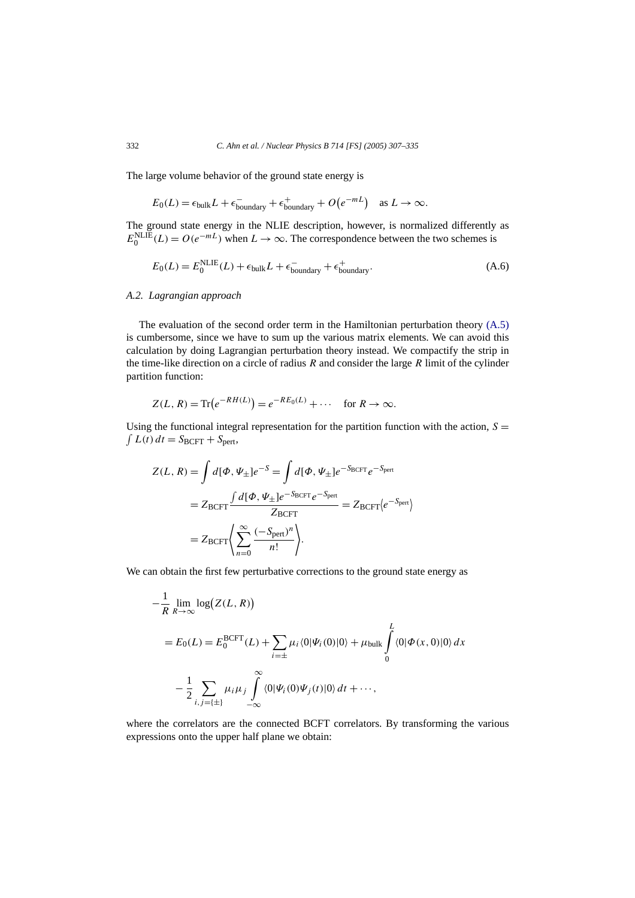The large volume behavior of the ground state energy is

$$
E_0(L) = \epsilon_{\text{bulk}} L + \epsilon_{\text{boundary}}^- + \epsilon_{\text{boundary}}^+ + O(e^{-mL}) \quad \text{as } L \to \infty.
$$

The ground state energy in the NLIE description, however, is normalized differently as  $E_0^{\text{NLE}}(L) = O(e^{-mL})$  when  $L \to \infty$ . The correspondence between the two schemes is

$$
E_0(L) = E_0^{\text{NLE}}(L) + \epsilon_{\text{bulk}}L + \epsilon_{\text{boundary}}^- + \epsilon_{\text{boundary}}^+.
$$
 (A.6)

# *A.2. Lagrangian approach*

The evaluation of the second order term in the Hamiltonian perturbation theory [\(A.5\)](#page-24-0) is cumbersome, since we have to sum up the various matrix elements. We can avoid this calculation by doing Lagrangian perturbation theory instead. We compactify the strip in the time-like direction on a circle of radius *R* and consider the large *R* limit of the cylinder partition function:

$$
Z(L, R) = \text{Tr}\left(e^{-R H(L)}\right) = e^{-R E_0(L)} + \cdots \quad \text{for } R \to \infty.
$$

Using the functional integral representation for the partition function with the action,  $S =$  $\int L(t) dt = S_{\text{BCFT}} + S_{\text{pert}},$ 

$$
Z(L, R) = \int d[\Phi, \Psi_{\pm}]e^{-S} = \int d[\Phi, \Psi_{\pm}]e^{-S_{\text{BCFT}}}e^{-S_{\text{pert}}}
$$

$$
= Z_{\text{BCFT}} \frac{\int d[\Phi, \Psi_{\pm}]e^{-S_{\text{BCFT}}}e^{-S_{\text{pert}}}}{Z_{\text{BCFT}}} = Z_{\text{BCFT}} \langle e^{-S_{\text{pert}}} \rangle
$$

$$
= Z_{\text{BCFT}} \left\langle \sum_{n=0}^{\infty} \frac{(-S_{\text{pert}})^n}{n!} \right\rangle.
$$

We can obtain the first few perturbative corrections to the ground state energy as

$$
-\frac{1}{R} \lim_{R \to \infty} \log(Z(L, R))
$$
  
=  $E_0(L) = E_0^{\text{BCFT}}(L) + \sum_{i=\pm} \mu_i \langle 0 | \Psi_i(0) | 0 \rangle + \mu_{\text{bulk}} \int_0^L \langle 0 | \Phi(x, 0) | 0 \rangle dx$   

$$
-\frac{1}{2} \sum_{i,j=(\pm)} \mu_i \mu_j \int_{-\infty}^{\infty} \langle 0 | \Psi_i(0) \Psi_j(t) | 0 \rangle dt + \cdots,
$$

where the correlators are the connected BCFT correlators. By transforming the various expressions onto the upper half plane we obtain:

<span id="page-25-0"></span>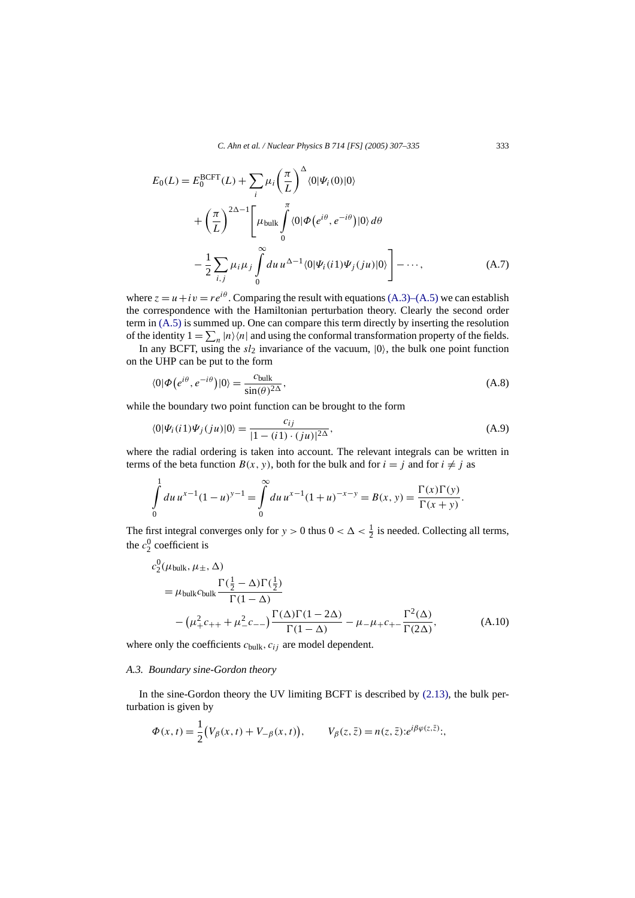<span id="page-26-0"></span>
$$
E_0(L) = E_0^{\text{BCFT}}(L) + \sum_i \mu_i \left(\frac{\pi}{L}\right)^{\Delta} \langle 0 | \Psi_i(0) | 0 \rangle
$$
  
+ 
$$
\left(\frac{\pi}{L}\right)^{2\Delta - 1} \left[ \mu_{\text{bulk}} \int_0^{\pi} \langle 0 | \Phi(e^{i\theta}, e^{-i\theta}) | 0 \rangle d\theta
$$
  
- 
$$
\frac{1}{2} \sum_{i,j} \mu_i \mu_j \int_0^{\infty} du \, u^{\Delta - 1} \langle 0 | \Psi_i(i1) \Psi_j(ju) | 0 \rangle \right] - \cdots,
$$
 (A.7)

where  $z = u + iv = re^{i\theta}$ . Comparing the result with equations [\(A.3\)–\(A.5\)](#page-24-0) we can establish the correspondence with the Hamiltonian perturbation theory. Clearly the second order term in [\(A.5\)](#page-24-0) is summed up. One can compare this term directly by inserting the resolution of the identity  $1 = \sum_{n} |n\rangle\langle n|$  and using the conformal transformation property of the fields.

In any BCFT, using the  $sl_2$  invariance of the vacuum,  $|0\rangle$ , the bulk one point function on the UHP can be put to the form

$$
\langle 0|\Phi\left(e^{i\theta}, e^{-i\theta}\right)|0\rangle = \frac{c_{\text{bulk}}}{\sin(\theta)^{2\Delta}},\tag{A.8}
$$

while the boundary two point function can be brought to the form

$$
\langle 0|\Psi_i(i1)\Psi_j(ju)|0\rangle = \frac{c_{ij}}{|1 - (i1) \cdot (ju)|^{2\Delta}},\tag{A.9}
$$

where the radial ordering is taken into account. The relevant integrals can be written in terms of the beta function  $B(x, y)$ , both for the bulk and for  $i = j$  and for  $i \neq j$  as

$$
\int_{0}^{1} du \, u^{x-1} (1-u)^{y-1} = \int_{0}^{\infty} du \, u^{x-1} (1+u)^{-x-y} = B(x, y) = \frac{\Gamma(x) \Gamma(y)}{\Gamma(x+y)}.
$$

The first integral converges only for  $y > 0$  thus  $0 < \Delta < \frac{1}{2}$  is needed. Collecting all terms, the  $c_2^0$  coefficient is

$$
c_2^0(\mu_{\text{bulk}}, \mu_{\pm}, \Delta)
$$
  
=  $\mu_{\text{bulk}}c_{\text{bulk}} \frac{\Gamma(\frac{1}{2} - \Delta)\Gamma(\frac{1}{2})}{\Gamma(1 - \Delta)}$   

$$
-(\mu_+^2 c_{++} + \mu_-^2 c_{--}) \frac{\Gamma(\Delta)\Gamma(1 - 2\Delta)}{\Gamma(1 - \Delta)} - \mu_- \mu_+ c_{+-} \frac{\Gamma^2(\Delta)}{\Gamma(2\Delta)},
$$
(A.10)

where only the coefficients  $c_{\text{bulk}}$ ,  $c_{ij}$  are model dependent.

# *A.3. Boundary sine-Gordon theory*

In the sine-Gordon theory the UV limiting BCFT is described by  $(2.13)$ , the bulk perturbation is given by

$$
\Phi(x,t) = \frac{1}{2} (V_{\beta}(x,t) + V_{-\beta}(x,t)), \qquad V_{\beta}(z,\bar{z}) = n(z,\bar{z}) : e^{i\beta \varphi(z,\bar{z})};
$$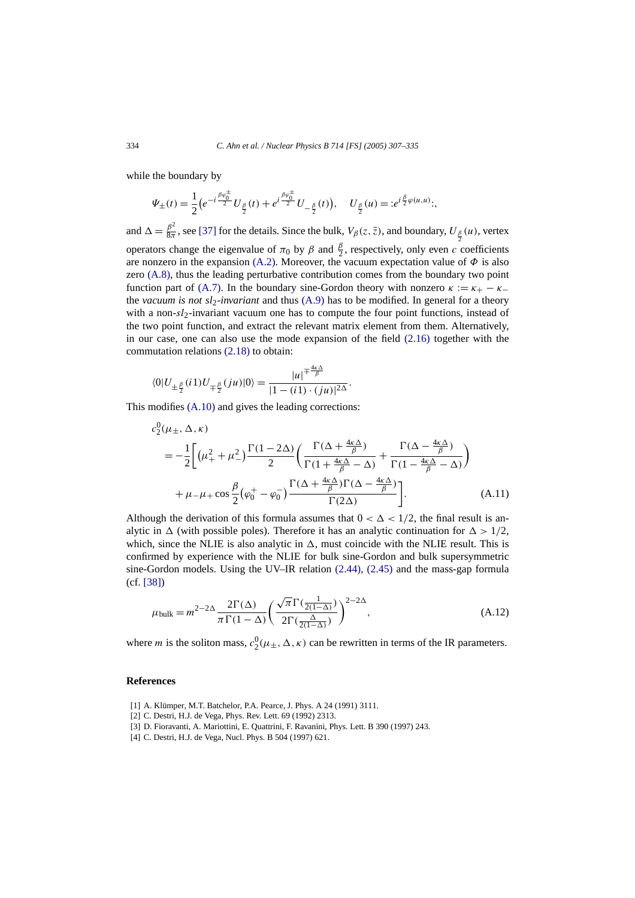<span id="page-27-0"></span>while the boundary by

$$
\Psi_{\pm}(t) = \frac{1}{2} \big( e^{-i \frac{\beta \varphi_0^{\pm}}{2}} U_{\frac{\beta}{2}}(t) + e^{i \frac{\beta \varphi_0^{\pm}}{2}} U_{-\frac{\beta}{2}}(t) \big), \quad U_{\frac{\beta}{2}}(u) = : e^{i \frac{\beta}{2} \varphi(u,u)}:
$$

and  $\Delta = \frac{\beta^2}{8\pi}$ , see [\[37\]](#page-28-0) for the details. Since the bulk,  $V_\beta(z, \bar{z})$ , and boundary,  $U_{\frac{\beta}{2}}(u)$ , vertex operators change the eigenvalue of  $\pi_0$  by  $\beta$  and  $\frac{\beta}{2}$ , respectively, only even *c* coefficients are nonzero in the expansion [\(A.2\).](#page-24-0) Moreover, the vacuum expectation value of  $\Phi$  is also zero [\(A.8\),](#page-26-0) thus the leading perturbative contribution comes from the boundary two point function part of [\(A.7\).](#page-26-0) In the boundary sine-Gordon theory with nonzero  $\kappa := \kappa_+ - \kappa_$ the *vacuum is not sl*2-*invariant* and thus [\(A.9\)](#page-26-0) has to be modified. In general for a theory with a non-*sl*2-invariant vacuum one has to compute the four point functions, instead of the two point function, and extract the relevant matrix element from them. Alternatively, in our case, one can also use the mode expansion of the field [\(2.16\)](#page-4-0) together with the commutation relations [\(2.18\)](#page-4-0) to obtain:

$$
\langle 0|U_{\pm\frac{\beta}{2}}(i1)U_{\mp\frac{\beta}{2}}(ju)|0\rangle = \frac{|u|^{\mp\frac{4\kappa\Delta}{\beta}}}{|1 - (i1) \cdot (ju)|^{2\Delta}}.
$$

This modifies [\(A.10\)](#page-26-0) and gives the leading corrections:

$$
c_2^0(\mu_{\pm}, \Delta, \kappa)
$$
  
=  $-\frac{1}{2} \bigg[ (\mu_+^2 + \mu_-^2) \frac{\Gamma(1 - 2\Delta)}{2} \bigg( \frac{\Gamma(\Delta + \frac{4\kappa \Delta}{\beta})}{\Gamma(1 + \frac{4\kappa \Delta}{\beta} - \Delta)} + \frac{\Gamma(\Delta - \frac{4\kappa \Delta}{\beta})}{\Gamma(1 - \frac{4\kappa \Delta}{\beta} - \Delta)} \bigg)$   
+  $\mu_- \mu_+ \cos \frac{\beta}{2} (\varphi_0^+ - \varphi_0^-) \frac{\Gamma(\Delta + \frac{4\kappa \Delta}{\beta}) \Gamma(\Delta - \frac{4\kappa \Delta}{\beta})}{\Gamma(2\Delta)} \bigg].$  (A.11)

Although the derivation of this formula assumes that  $0 < \Delta < 1/2$ , the final result is analytic in  $\Delta$  (with possible poles). Therefore it has an analytic continuation for  $\Delta > 1/2$ , which, since the NLIE is also analytic in  $\Delta$ , must coincide with the NLIE result. This is confirmed by experience with the NLIE for bulk sine-Gordon and bulk supersymmetric sine-Gordon models. Using the UV–IR relation [\(2.44\),](#page-8-0) [\(2.45\)](#page-8-0) and the mass-gap formula (cf. [\[38\]\)](#page-28-0)

$$
\mu_{\text{bulk}} = m^{2-2\Delta} \frac{2\Gamma(\Delta)}{\pi \Gamma(1-\Delta)} \left(\frac{\sqrt{\pi} \Gamma(\frac{1}{2(1-\Delta)})}{2\Gamma(\frac{\Delta}{2(1-\Delta)})}\right)^{2-2\Delta},\tag{A.12}
$$

where *m* is the soliton mass,  $c_2^0(\mu_\pm, \Delta, \kappa)$  can be rewritten in terms of the IR parameters.

## **References**

- [1] A. Klümper, M.T. Batchelor, P.A. Pearce, J. Phys. A 24 (1991) 3111.
- [2] C. Destri, H.J. de Vega, Phys. Rev. Lett. 69 (1992) 2313.
- [3] D. Fioravanti, A. Mariottini, E. Quattrini, F. Ravanini, Phys. Lett. B 390 (1997) 243.
- [4] C. Destri, H.J. de Vega, Nucl. Phys. B 504 (1997) 621.